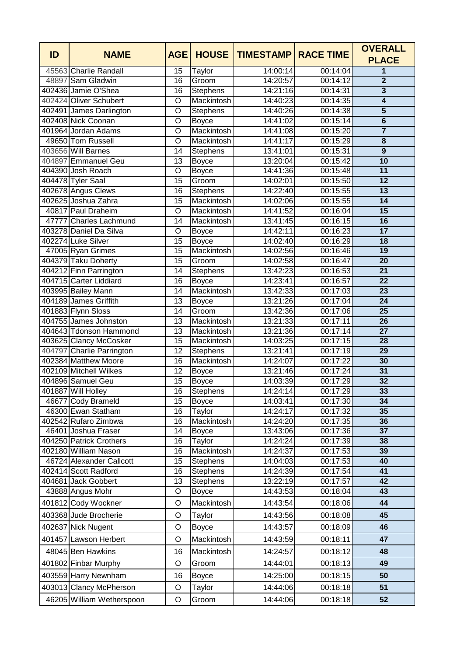| ID | <b>NAME</b>                                    | <b>AGE</b>      | <b>HOUSE</b>         | <b>TIMESTAMP</b>     | <b>RACE TIME</b>     | <b>OVERALL</b><br><b>PLACE</b> |
|----|------------------------------------------------|-----------------|----------------------|----------------------|----------------------|--------------------------------|
|    | 45563 Charlie Randall                          | 15              | Taylor               | 14:00:14             | 00:14:04             | 1                              |
|    | 48897 Sam Gladwin                              | 16              | Groom                | 14:20:57             | 00:14:12             | $\overline{2}$                 |
|    | 402436 Jamie O'Shea                            | 16              | <b>Stephens</b>      | 14:21:16             | 00:14:31             | $\overline{\mathbf{3}}$        |
|    | 402424 Oliver Schubert                         | $\overline{O}$  | Mackintosh           | 14:40:23             | 00:14:35             | $\overline{4}$                 |
|    | 402491 James Darlington                        | $\circ$         | Stephens             | 14:40:26             | 00:14:38             | 5                              |
|    | 402408 Nick Coonan                             | $\circ$         | <b>Boyce</b>         | 14:41:02             | 00:15:14             | $\overline{6}$                 |
|    | 401964 Jordan Adams                            | $\circ$         | Mackintosh           | 14:41:08             | 00:15:20             | $\overline{7}$                 |
|    | 49650 Tom Russell                              | $\circ$         | Mackintosh           | 14:41:17             | 00:15:29             | 8                              |
|    | 403656 Will Barnes                             | 14              | <b>Stephens</b>      | 13:41:01             | 00:15:31             | 9                              |
|    | 404897 Emmanuel Geu                            | 13              | <b>Boyce</b>         | 13:20:04             | 00:15:42             | $\overline{10}$                |
|    | 404390 Josh Roach                              | $\overline{O}$  | <b>Boyce</b>         | 14:41:36             | 00:15:48             | $\overline{11}$                |
|    | 404478 Tyler Saal                              | $\overline{15}$ | Groom                | 14:02:01             | 00:15:50             | $\overline{12}$                |
|    | 402678 Angus Clews                             | 16              | Stephens             | 14:22:40             | 00:15:55             | 13                             |
|    | 402625 Joshua Zahra                            | 15              | Mackintosh           | 14:02:06             | 00:15:55             | $\overline{14}$                |
|    | 40817 Paul Draheim                             | $\circ$         | Mackintosh           | 14:41:52             | 00:16:04             | $\overline{15}$                |
|    | 47777 Charles Lachmund                         | 14              | Mackintosh           | 13:41:45             | 00:16:15             | 16                             |
|    | 403278 Daniel Da Silva                         | O               | Boyce                | 14:42:11             | 00:16:23             | $\overline{17}$                |
|    | 402274 Luke Silver                             | 15              | <b>Boyce</b>         | 14:02:40             | 00:16:29             | $\overline{18}$                |
|    | 47005 Ryan Grimes                              | 15              | Mackintosh           | 14:02:56             | 00:16:46             | $\overline{19}$                |
|    | 404379 Taku Doherty                            | $\overline{15}$ | Groom                | 14:02:58             | 00:16:47             | $\overline{20}$                |
|    | 404212 Finn Parrington                         | 14              | Stephens             | 13:42:23             | 00:16:53             | 21                             |
|    | 404715 Carter Liddiard                         | 16              | <b>Boyce</b>         | 14:23:41             | 00:16:57             | $\overline{22}$                |
|    | 403995 Bailey Mann                             | 14              | Mackintosh           | 13:42:33             | 00:17:03             | $\overline{23}$                |
|    | 404189 James Griffith                          | $\overline{13}$ | <b>Boyce</b>         | 13:21:26             | 00:17:04             | $\overline{24}$                |
|    | 401883 Flynn Sloss                             | 14              | Groom                | 13:42:36             | 00:17:06             | 25                             |
|    | 404755 James Johnston                          | 13              | Mackintosh           | 13:21:33             | 00:17:11             | $\overline{26}$                |
|    | 404643 Tdonson Hammond                         | $\overline{13}$ | Mackintosh           | 13:21:36             | 00:17:14             | $\overline{27}$                |
|    | 403625 Clancy McCosker                         | 15              | Mackintosh           | 14:03:25             | 00:17:15             | $\overline{28}$                |
|    | 404797 Charlie Parrington                      | 12              | Stephens             | 13:21:41             | 00:17:19             | 29                             |
|    | 402384 Matthew Moore                           | 16              | Mackintosh           | 14:24:07             | 00:17:22             | 30                             |
|    | 402109 Mitchell Wilkes                         | 12              | Boyce                | 13:21:46             | 00:17:24             | $\overline{31}$                |
|    | 404896 Samuel Geu                              | $\overline{15}$ | <b>Boyce</b>         | 14:03:39             | 00:17:29             | 32                             |
|    | 401887 Will Holley                             | $\overline{16}$ | Stephens             | 14:24:14             | 00:17:29             | 33                             |
|    | 46677 Cody Brameld                             | 15              | <b>Boyce</b>         | 14:03:41             | 00:17:30             | 34                             |
|    | 46300 Ewan Statham                             | 16              | Taylor               | 14:24:17             | 00:17:32             | 35                             |
|    | 402542 Rufaro Zimbwa                           | 16              | Mackintosh           | 14:24:20             | 00:17:35             | 36                             |
|    | 46401 Joshua Fraser<br>404250 Patrick Crothers | 14<br>16        | <b>Boyce</b>         | 13:43:06<br>14:24:24 | 00:17:36<br>00:17:39 | 37<br>38                       |
|    | 402180 William Nason                           | 16              | Taylor<br>Mackintosh | 14:24:37             | 00:17:53             | 39                             |
|    | 46724 Alexander Callcott                       | 15              | <b>Stephens</b>      | 14:04:03             | 00:17:53             | 40                             |
|    | 402414 Scott Radford                           | 16              | <b>Stephens</b>      | 14:24:39             | 00:17:54             | 41                             |
|    | 404681 Jack Gobbert                            | 13              | <b>Stephens</b>      | 13:22:19             | 00:17:57             | 42                             |
|    | 43888 Angus Mohr                               | O               | <b>Boyce</b>         | 14:43:53             | 00:18:04             | 43                             |
|    | 401812 Cody Wockner                            | O               | Mackintosh           | 14:43:54             | 00:18:06             | 44                             |
|    | 403368 Jude Brocherie                          | O               | Taylor               | 14:43:56             | 00:18:08             | 45                             |
|    | 402637 Nick Nugent                             | O               | <b>Boyce</b>         | 14:43:57             | 00:18:09             | 46                             |
|    | 401457 Lawson Herbert                          | O               | Mackintosh           | 14:43:59             | 00:18:11             | 47                             |
|    | 48045 Ben Hawkins                              | 16              | Mackintosh           | 14:24:57             | 00:18:12             | 48                             |
|    | 401802 Finbar Murphy                           | O               | Groom                | 14:44:01             | 00:18:13             | 49                             |
|    | 403559 Harry Newnham                           | 16              |                      | 14:25:00             | 00:18:15             | 50                             |
|    |                                                |                 | <b>Boyce</b>         |                      |                      |                                |
|    | 403013 Clancy McPherson                        | O               | Taylor               | 14:44:06             | 00:18:18             | 51                             |
|    | 46205 William Wetherspoon                      | O               | Groom                | 14:44:06             | 00:18:18             | 52                             |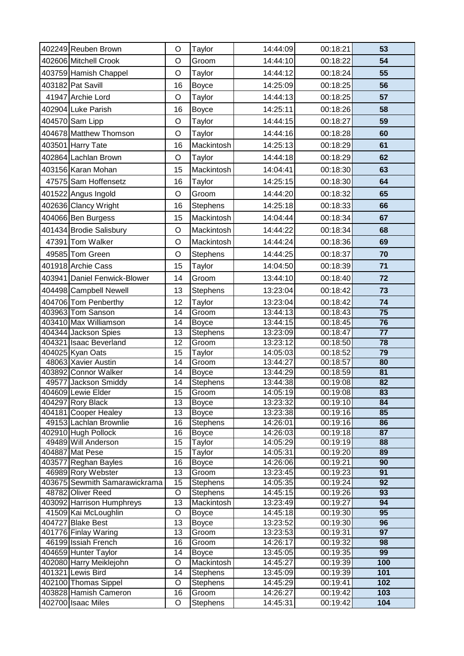| 402249 Reuben Brown                        | O               | Taylor                   | 14:44:09             | 00:18:21             | 53                    |
|--------------------------------------------|-----------------|--------------------------|----------------------|----------------------|-----------------------|
| 402606 Mitchell Crook                      | O               | Groom                    | 14:44:10             | 00:18:22             | 54                    |
| 403759 Hamish Chappel                      | O               | Taylor                   | 14:44:12             | 00:18:24             | 55                    |
| 403182 Pat Savill                          | 16              | <b>Boyce</b>             | 14:25:09             | 00:18:25             | 56                    |
| 41947 Archie Lord                          | O               | Taylor                   | 14:44:13             | 00:18:25             | 57                    |
| 402904 Luke Parish                         | 16              | <b>Boyce</b>             | 14:25:11             | 00:18:26             | 58                    |
| 404570 Sam Lipp                            | O               | Taylor                   | 14:44:15             | 00:18:27             | 59                    |
| 404678 Matthew Thomson                     | O               | Taylor                   | 14:44:16             | 00:18:28             | 60                    |
|                                            |                 |                          |                      |                      |                       |
| 403501 Harry Tate                          | 16              | Mackintosh               | 14:25:13             | 00:18:29             | 61                    |
| 402864 Lachlan Brown                       | O               | Taylor                   | 14:44:18             | 00:18:29             | 62                    |
| 403156 Karan Mohan                         | 15              | Mackintosh               | 14:04:41             | 00:18:30             | 63                    |
| 47575 Sam Hoffensetz                       | 16              | Taylor                   | 14:25:15             | 00:18:30             | 64                    |
| 401522 Angus Ingold                        | O               | Groom                    | 14:44:20             | 00:18:32             | 65                    |
| 402636 Clancy Wright                       | 16              | <b>Stephens</b>          | 14:25:18             | 00:18:33             | 66                    |
| 404066 Ben Burgess                         | 15              | Mackintosh               | 14:04:44             | 00:18:34             | 67                    |
| 401434 Brodie Salisbury                    | O               | Mackintosh               | 14:44:22             | 00:18:34             | 68                    |
| 47391 Tom Walker                           | O               | Mackintosh               | 14:44:24             | 00:18:36             | 69                    |
| 49585 Tom Green                            | O               | Stephens                 | 14:44:25             | 00:18:37             | 70                    |
| 401918 Archie Cass                         | 15              | Taylor                   | 14:04:50             | 00:18:39             | 71                    |
| 403941 Daniel Fenwick-Blower               | 14              | Groom                    | 13:44:10             | 00:18:40             | 72                    |
|                                            |                 |                          |                      |                      |                       |
| 404498 Campbell Newell                     | 13              | <b>Stephens</b>          | 13:23:04             | 00:18:42             | 73                    |
| 404706 Tom Penberthy                       | 12              | Taylor                   | 13:23:04             | 00:18:42             | 74<br>$\overline{75}$ |
| 403963 Tom Sanson<br>403410 Max Williamson | 14<br>14        | Groom                    | 13:44:13<br>13:44:15 | 00:18:43<br>00:18:45 | $\overline{76}$       |
| 404344 Jackson Spies                       | 13              | <b>Boyce</b><br>Stephens | 13:23:09             | 00:18:47             | $\overline{77}$       |
| 404321 Isaac Beverland                     | 12              | Groom                    | 13:23:12             | 00:18:50             | 78                    |
| 404025 Kyan Oats                           | $\overline{15}$ | Taylor                   | 14:05:03             | 00:18:52             | 79                    |
| 48063 Xavier Austin                        | 14              | Groom                    | 13:44:27             | 00:18:57             | 80                    |
| 403892 Connor Walker                       | $\overline{14}$ | <b>Boyce</b>             | 13:44:29             | 00:18:59             | $\overline{81}$       |
| 49577 Jackson Smiddy                       | 14              | Stephens                 | 13:44:38             | 00:19:08             | $\overline{82}$       |
| 404609 Lewie Elder                         | 15              | Groom                    | 14:05:19             | 00:19:08             | $\overline{83}$       |
| 404297 Rory Black                          | 13              | Boyce                    | 13:23:32             | 00:19:10             | 84                    |
| 404181 Cooper Healey                       | 13              | <b>Boyce</b>             | 13:23:38             | 00:19:16             | 85                    |
| 49153 Lachlan Brownlie                     | 16              | <b>Stephens</b>          | 14:26:01             | 00:19:16             | 86                    |
| 402910 Hugh Pollock                        | 16              | <b>Boyce</b>             | 14:26:03             | 00:19:18             | $\overline{87}$       |
| 49489 Will Anderson                        | 15              | Taylor                   | 14:05:29             | 00:19:19             | 88                    |
| 404887 Mat Pese<br>403577 Reghan Bayles    | 15<br>16        | Taylor<br><b>Boyce</b>   | 14:05:31<br>14:26:06 | 00:19:20<br>00:19:21 | 89<br>90              |
| 46989 Rory Webster                         | 13              | Groom                    | 13:23:45             | 00:19:23             | 91                    |
| 403675 Sewmith Samarawickrama              | 15              | <b>Stephens</b>          | 14:05:35             | 00:19:24             | 92                    |
| 48782 Oliver Reed                          | O               | <b>Stephens</b>          | 14:45:15             | 00:19:26             | 93                    |
| 403092 Harrison Humphreys                  | 13              | Mackintosh               | 13:23:49             | 00:19:27             | 94                    |
| 41509 Kai McLoughlin                       | O               | <b>Boyce</b>             | 14:45:18             | 00:19:30             | 95                    |
| 404727 Blake Best                          | 13              | <b>Boyce</b>             | 13:23:52             | 00:19:30             | 96                    |
| 401776 Finlay Waring                       | 13              | Groom                    | 13:23:53             | 00:19:31             | $\overline{97}$       |
| 46199 Issiah French                        | 16              | Groom                    | 14:26:17             | 00:19:32             | 98                    |
| 404659 Hunter Taylor                       | 14              | <b>Boyce</b>             | 13:45:05             | 00:19:35             | 99                    |
| 402080 Harry Meiklejohn                    | O               | Mackintosh               | 14:45:27             | 00:19:39             | 100                   |
| 401321 Lewis Bird                          | 14              | Stephens                 | 13:45:09             | 00:19:39             | 101                   |
| 402100 Thomas Sippel                       | O               | Stephens                 | 14:45:29             | 00:19:41             | 102                   |
| 403828 Hamish Cameron                      | 16              | Groom                    | 14:26:27             | 00:19:42             | 103                   |
| 402700 Isaac Miles                         | O               | <b>Stephens</b>          | 14:45:31             | 00:19:42             | 104                   |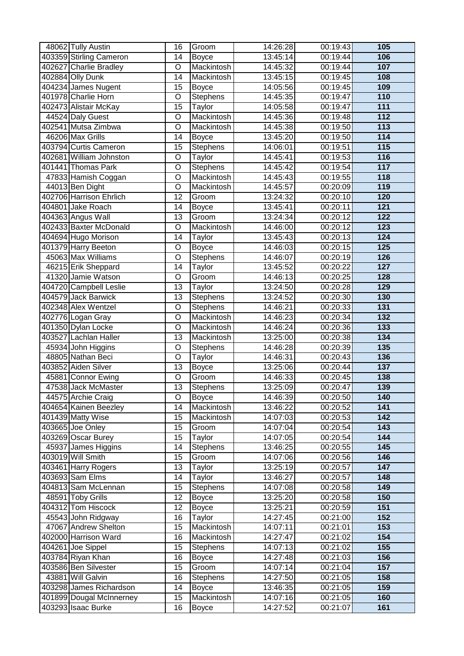| 48062 Tully Austin       | 16                      | Groom           | 14:26:28 | 00:19:43 | 105              |
|--------------------------|-------------------------|-----------------|----------|----------|------------------|
| 403359 Stirling Cameron  | 14                      | <b>Boyce</b>    | 13:45:14 | 00:19:44 | 106              |
| 402627 Charlie Bradley   | O                       | Mackintosh      | 14:45:32 | 00:19:44 | 107              |
| 402884 Olly Dunk         | 14                      | Mackintosh      | 13:45:15 | 00:19:45 | 108              |
| 404234 James Nugent      | 15                      | <b>Boyce</b>    | 14:05:56 | 00:19:45 | 109              |
| 401978 Charlie Horn      | $\overline{O}$          | <b>Stephens</b> | 14:45:35 | 00:19:47 | 110              |
| 402473 Alistair McKay    | 15                      | Taylor          | 14:05:58 | 00:19:47 | $\overline{111}$ |
| 44524 Daly Guest         | O                       | Mackintosh      | 14:45:36 | 00:19:48 | $\overline{112}$ |
| 402541 Mutsa Zimbwa      | O                       | Mackintosh      | 14:45:38 | 00:19:50 | 113              |
| 46206 Max Grills         | 14                      | <b>Boyce</b>    | 13:45:20 | 00:19:50 | $\overline{114}$ |
| 403794 Curtis Cameron    | 15                      | <b>Stephens</b> | 14:06:01 | 00:19:51 | 115              |
| 402681 William Johnston  | $\overline{O}$          | Taylor          | 14:45:41 | 00:19:53 | 116              |
| 401441 Thomas Park       | $\overline{\mathsf{o}}$ | Stephens        | 14:45:42 | 00:19:54 | $\overline{117}$ |
| 47833 Hamish Coggan      | $\overline{\rm o}$      | Mackintosh      | 14:45:43 | 00:19:55 | 118              |
| 44013 Ben Dight          | O                       | Mackintosh      | 14:45:57 | 00:20:09 | 119              |
| 402706 Harrison Ehrlich  | 12                      | Groom           | 13:24:32 | 00:20:10 | 120              |
| 404801 Jake Roach        | 14                      | <b>Boyce</b>    | 13:45:41 | 00:20:11 | 121              |
| 404363 Angus Wall        | 13                      | Groom           | 13:24:34 | 00:20:12 | $\overline{122}$ |
| 402433 Baxter McDonald   | $\overline{\circ}$      | Mackintosh      | 14:46:00 | 00:20:12 | 123              |
| 404694 Hugo Morison      | 14                      | Taylor          | 13:45:43 | 00:20:13 | $\overline{124}$ |
| 401379 Harry Beeton      | O                       | <b>Boyce</b>    | 14:46:03 | 00:20:15 | 125              |
| 45063 Max Williams       | O                       | <b>Stephens</b> | 14:46:07 | 00:20:19 | 126              |
| 46215 Erik Sheppard      | 14                      | Taylor          | 13:45:52 | 00:20:22 | $\overline{127}$ |
| 41320 Jamie Watson       | O                       | Groom           | 14:46:13 | 00:20:25 | 128              |
| 404720 Campbell Leslie   | 13                      | Taylor          | 13:24:50 | 00:20:28 | 129              |
| 404579 Jack Barwick      | 13                      | Stephens        | 13:24:52 | 00:20:30 | 130              |
| 402348 Alex Wentzel      | $\overline{O}$          | Stephens        | 14:46:21 | 00:20:33 | $\overline{131}$ |
| 402776 Logan Gray        | $\overline{O}$          | Mackintosh      | 14:46:23 | 00:20:34 | $\overline{132}$ |
| 401350 Dylan Locke       | O                       | Mackintosh      | 14:46:24 | 00:20:36 | $\overline{133}$ |
| 403527 Lachlan Haller    | 13                      | Mackintosh      | 13:25:00 | 00:20:38 | 134              |
| 45934 John Higgins       | O                       | Stephens        | 14:46:28 | 00:20:39 | $\overline{135}$ |
| 48805 Nathan Beci        | O                       | Taylor          | 14:46:31 | 00:20:43 | 136              |
| 403852 Aiden Silver      | $\overline{13}$         | <b>Boyce</b>    | 13:25:06 | 00:20:44 | 137              |
| 45881 Connor Ewing       | $\overline{O}$          | Groom           | 14:46:33 | 00:20:45 | 138              |
| 47538 Jack McMaster      | $\overline{13}$         | Stephens        | 13:25:09 | 00:20:47 | 139              |
| 44575 Archie Craig       | O                       | <b>Boyce</b>    | 14:46:39 | 00:20:50 | 140              |
| 404654 Kainen Beezley    | 14                      | Mackintosh      | 13:46:22 | 00:20:52 | 141              |
| 401439 Matty Wise        | 15                      | Mackintosh      | 14:07:03 | 00:20:53 | 142              |
| 403665 Joe Onley         | 15                      | Groom           | 14:07:04 | 00:20:54 | $\overline{143}$ |
| 403269 Oscar Burey       | $\overline{15}$         | Taylor          | 14:07:05 | 00:20:54 | 144              |
| 45937 James Higgins      | 14                      | Stephens        | 13:46:25 | 00:20:55 | $\overline{145}$ |
| 403019 Will Smith        | $\overline{15}$         | Groom           | 14:07:06 | 00:20:56 | 146              |
| 403461 Harry Rogers      | 13                      | Taylor          | 13:25:19 | 00:20:57 | 147              |
| 403693 Sam Elms          | 14                      | Taylor          | 13:46:27 | 00:20:57 | 148              |
| 404813 Sam McLennan      | 15                      | <b>Stephens</b> | 14:07:08 | 00:20:58 | 149              |
| 48591 Toby Grills        | 12                      | <b>Boyce</b>    | 13:25:20 | 00:20:58 | 150              |
| 404312 Tom Hiscock       | 12                      | <b>Boyce</b>    | 13:25:21 | 00:20:59 | 151              |
| 45543 John Ridgway       | 16                      | Taylor          | 14:27:45 | 00:21:00 | 152              |
| 47067 Andrew Shelton     | 15                      | Mackintosh      | 14:07:11 | 00:21:01 | $\overline{153}$ |
| 402000 Harrison Ward     | 16                      | Mackintosh      | 14:27:47 | 00:21:02 | 154              |
| 404261 Joe Sippel        | 15                      | <b>Stephens</b> | 14:07:13 | 00:21:02 | 155              |
| 403784 Riyan Khan        | 16                      | <b>Boyce</b>    | 14:27:48 | 00:21:03 | 156              |
| 403586 Ben Silvester     | 15                      | Groom           | 14:07:14 | 00:21:04 | 157              |
| 43881 Will Galvin        | 16                      | <b>Stephens</b> | 14:27:50 | 00:21:05 | 158              |
| 403298 James Richardson  | 14                      | <b>Boyce</b>    | 13:46:35 | 00:21:05 | 159              |
| 401899 Dougal McInnerney | 15                      | Mackintosh      | 14:07:16 | 00:21:05 | 160              |
| 403293 Isaac Burke       | 16                      | <b>Boyce</b>    | 14:27:52 | 00:21:07 | 161              |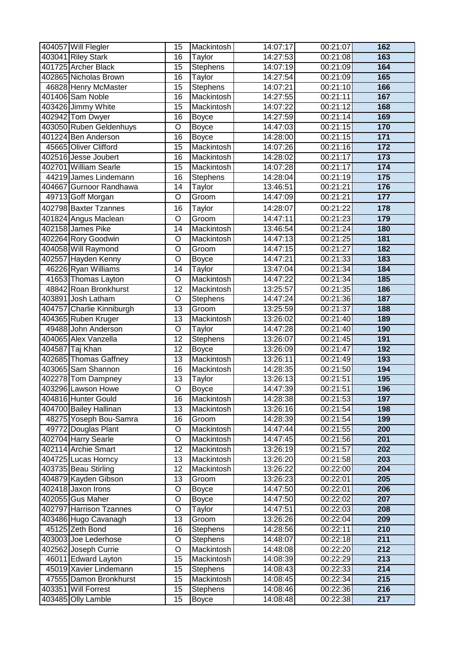| 404057 Will Flegler       | 15                 | Mackintosh        | 14:07:17 | 00:21:07 | 162              |
|---------------------------|--------------------|-------------------|----------|----------|------------------|
| 403041 Riley Stark        | 16                 | Taylor            | 14:27:53 | 00:21:08 | 163              |
| 401725 Archer Black       | 15                 | <b>Stephens</b>   | 14:07:19 | 00:21:09 | 164              |
| 402865 Nicholas Brown     | 16                 | Taylor            | 14:27:54 | 00:21:09 | 165              |
| 46828 Henry McMaster      | $\overline{15}$    | Stephens          | 14:07:21 | 00:21:10 | 166              |
| 401406 Sam Noble          | 16                 | Mackintosh        | 14:27:55 | 00:21:11 | 167              |
| 403426 Jimmy White        | $\overline{15}$    | Mackintosh        | 14:07:22 | 00:21:12 | 168              |
| 402942 Tom Dwyer          | 16                 | <b>Boyce</b>      | 14:27:59 | 00:21:14 | 169              |
| 403050 Ruben Geldenhuys   | O                  | <b>Boyce</b>      | 14:47:03 | 00:21:15 | 170              |
| 401224 Ben Anderson       | $\overline{16}$    | <b>Boyce</b>      | 14:28:00 | 00:21:15 | $\overline{171}$ |
| 45665 Oliver Clifford     | 15                 | Mackintosh        | 14:07:26 | 00:21:16 | $\overline{172}$ |
| 402516 Jesse Joubert      | $\overline{16}$    | Mackintosh        | 14:28:02 | 00:21:17 | $\overline{173}$ |
| 402701 William Searle     | $\overline{15}$    | Mackintosh        | 14:07:28 | 00:21:17 | $\overline{174}$ |
| 44219 James Lindemann     | $\overline{16}$    | <b>Stephens</b>   | 14:28:04 | 00:21:19 | 175              |
| 404667 Gurnoor Randhawa   | 14                 | Taylor            | 13:46:51 | 00:21:21 | 176              |
| 49713 Goff Morgan         | O                  | Groom             | 14:47:09 | 00:21:21 | $\overline{177}$ |
| 402798 Baxter Tzannes     | 16                 | Taylor            | 14:28:07 | 00:21:22 | 178              |
| 401824 Angus Maclean      | O                  | Groom             | 14:47:11 | 00:21:23 | 179              |
| 402158 James Pike         | 14                 | Mackintosh        | 13:46:54 | 00:21:24 | 180              |
| 402264 Rory Goodwin       | O                  | Mackintosh        | 14:47:13 | 00:21:25 | 181              |
| 404058 Will Raymond       | O                  | Groom             | 14:47:15 | 00:21:27 | 182              |
| 402557 Hayden Kenny       | O                  | <b>Boyce</b>      | 14:47:21 | 00:21:33 | 183              |
| 46226 Ryan Williams       | $\overline{14}$    | Taylor            | 13:47:04 | 00:21:34 | 184              |
| 41653 Thomas Layton       | $\overline{\rm o}$ | Mackintosh        | 14:47:22 | 00:21:34 | 185              |
| 48842 Roan Bronkhurst     | $\overline{12}$    | Mackintosh        | 13:25:57 | 00:21:35 | 186              |
| 403891 Josh Latham        | O                  | Stephens          | 14:47:24 | 00:21:36 | 187              |
| 404757 Charlie Kinniburgh | $\overline{13}$    | Groom             | 13:25:59 | 00:21:37 | 188              |
| 404365 Ruben Kruger       | 13                 | Mackintosh        | 13:26:02 | 00:21:40 | 189              |
| 49488 John Anderson       | O                  | Taylor            | 14:47:28 | 00:21:40 | 190              |
| 404065 Alex Vanzella      | $\overline{12}$    | Stephens          | 13:26:07 | 00:21:45 | 191              |
| 404587 Taj Khan           | 12                 | <b>Boyce</b>      | 13:26:09 | 00:21:47 | 192              |
| 402685 Thomas Gaffney     | $\overline{13}$    | Mackintosh        | 13:26:11 | 00:21:49 | 193              |
| 403065 Sam Shannon        | 16                 | Mackintosh        | 14:28:35 | 00:21:50 | 194              |
| 402278 Tom Dampney        | 13                 | Taylor            | 13:26:13 | 00:21:51 | 195              |
| 403296 Lawson Howe        | $\overline{O}$     | <b>Boyce</b>      | 14:47:39 | 00:21:51 | 196              |
| 404816 Hunter Gould       | 16                 | Mackintosh        | 14:28:38 | 00:21:53 | 197              |
| 404700 Bailey Hallinan    | 13                 | Mackintosh        | 13:26:16 | 00:21:54 | 198              |
| 48275 Yoseph Bou-Samra    | 16                 | Groom             | 14:28:39 | 00:21:54 | 199              |
| 49772 Douglas Plant       | O                  | Mackintosh        | 14:47:44 | 00:21:55 | 200              |
| 402704 Harry Searle       | O                  | <b>Mackintosh</b> | 14:47:45 | 00:21:56 | 201              |
| 402114 Archie Smart       | 12                 | Mackintosh        | 13:26:19 | 00:21:57 | 202              |
| 404725 Lucas Horncy       | 13                 | Mackintosh        | 13:26:20 | 00:21:58 | 203              |
| 403735 Beau Stirling      | 12                 | Mackintosh        | 13:26:22 | 00:22:00 | 204              |
| 404879 Kayden Gibson      | 13                 | Groom             | 13:26:23 | 00:22:01 | 205              |
| 402418 Jaxon Irons        | O                  | <b>Boyce</b>      | 14:47:50 | 00:22:01 | 206              |
| 402055 Gus Maher          | O                  | <b>Boyce</b>      | 14:47:50 | 00:22:02 | 207              |
| 402797 Harrison Tzannes   | O                  | Taylor            | 14:47:51 | 00:22:03 | 208              |
| 403486 Hugo Cavanagh      | 13                 | Groom             | 13:26:26 | 00:22:04 | 209              |
| 45125 Zeth Bond           | 16                 | <b>Stephens</b>   | 14:28:56 | 00:22:11 | 210              |
| 403003 Joe Lederhose      | O                  | Stephens          | 14:48:07 | 00:22:18 | 211              |
| 402562 Joseph Currie      | O                  | Mackintosh        | 14:48:08 | 00:22:20 | 212              |
| 46011 Edward Layton       | 15                 | Mackintosh        | 14:08:39 | 00:22:29 | $\overline{213}$ |
| 45019 Xavier Lindemann    | 15                 | <b>Stephens</b>   | 14:08:43 | 00:22:33 | 214              |
| 47555 Damon Bronkhurst    | 15                 | Mackintosh        | 14:08:45 | 00:22:34 | 215              |
| 403351 Will Forrest       | 15                 | <b>Stephens</b>   | 14:08:46 | 00:22:36 | 216              |
| 403485 Olly Lamble        | 15                 | <b>Boyce</b>      | 14:08:48 | 00:22:38 | $\overline{217}$ |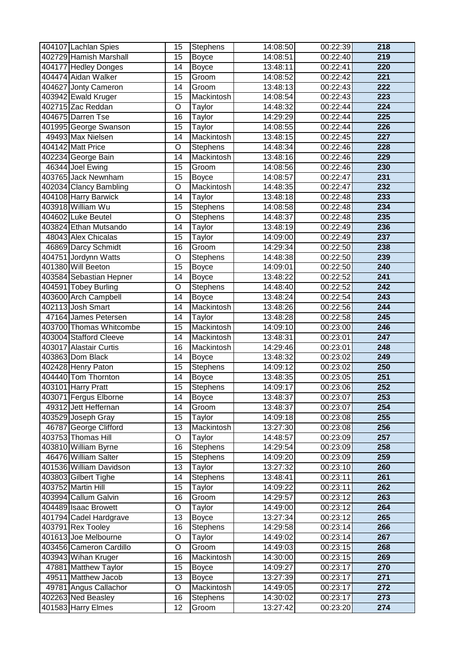| 402729 Hamish Marshall<br>219<br>15<br><b>Boyce</b><br>14:08:51<br>00:22:40<br>220<br>404177 Hedley Donges<br>13:48:11<br>00:22:41<br>14<br><b>Boyce</b><br>404474 Aidan Walker<br>15<br>14:08:52<br>00:22:42<br>221<br>Groom<br>$\overline{222}$<br>404627 Jonty Cameron<br>$\overline{14}$<br>00:22:43<br>Groom<br>13:48:13<br>223<br>403942 Ewald Kruger<br>15<br>Mackintosh<br>14:08:54<br>00:22:43<br>402715 Zac Reddan<br>00:22:44<br>$\overline{224}$<br>O<br>14:48:32<br>Taylor<br>404675 Darren Tse<br>16<br>14:29:29<br>00:22:44<br>225<br>Taylor<br>401995 George Swanson<br>226<br>15<br>Taylor<br>14:08:55<br>00:22:44<br>49493 Max Nielsen<br>13:48:15<br>00:22:45<br>$\overline{227}$<br>14<br>Mackintosh<br>404142 Matt Price<br>00:22:46<br>228<br>O<br>Stephens<br>14:48:34<br>00:22:46<br>229<br>402234 George Bain<br>$\overline{14}$<br>13:48:16<br>Mackintosh<br>46344 Joel Ewing<br>15<br>Groom<br>00:22:46<br>230<br>14:08:56<br>403765 Jack Newnham<br>231<br>15<br>14:08:57<br>00:22:47<br><b>Boyce</b><br>402034 Clancy Bambling<br>O<br>14:48:35<br>00:22:47<br>232<br>Mackintosh<br>404108 Harry Barwick<br>233<br>13:48:18<br>00:22:48<br>14<br>Taylor<br>403918 William Wu<br>14:08:58<br>00:22:48<br>234<br>15<br>Stephens<br>404602 Luke Beutel<br>14:48:37<br>235<br>O<br>Stephens<br>00:22:48<br>00:22:49<br>236<br>403824 Ethan Mutsando<br>14<br>13:48:19<br>Taylor<br>237<br>48043 Alex Chicalas<br>15<br>14:09:00<br>00:22:49<br>Taylor<br>14:29:34<br>00:22:50<br>238<br>46869 Darcy Schmidt<br>16<br>Groom<br>404751 Jordynn Watts<br>O<br>14:48:38<br>00:22:50<br>239<br><b>Stephens</b><br>401380 Will Beeton<br>$\overline{15}$<br>240<br>00:22:50<br>14:09:01<br><b>Boyce</b><br>403584 Sebastian Hepner<br>$\overline{241}$<br>13:48:22<br>00:22:52<br>14<br><b>Boyce</b><br>404591 Tobey Burling<br>00:22:52<br>$\overline{242}$<br>O<br>14:48:40<br><b>Stephens</b><br>403600 Arch Campbell<br>00:22:54<br>$\overline{243}$<br>14<br>13:48:24<br><b>Boyce</b><br>244<br>402113 Josh Smart<br>00:22:56<br>14<br>Mackintosh<br>13:48:26<br>13:48:28<br>00:22:58<br>$\overline{245}$<br>47164 James Petersen<br>14<br>Taylor<br>403700 Thomas Whitcombe<br>Mackintosh<br>14:09:10<br>00:23:00<br>246<br>15<br>$\overline{247}$<br>403004 Stafford Cleeve<br>14<br>13:48:31<br>00:23:01<br>Mackintosh<br>403017 Alastair Curtis<br>14:29:46<br>00:23:01<br>248<br>16<br>Mackintosh<br>403863 Dom Black<br>13:48:32<br>00:23:02<br>249<br>14<br><b>Boyce</b><br>402428 Henry Paton<br>00:23:02<br>250<br>15<br><b>Stephens</b><br>14:09:12<br>404440 Tom Thornton<br>251<br>14<br>13:48:35<br>00:23:05<br><b>Boyce</b><br>403101 Harry Pratt<br>$\overline{15}$<br>Stephens<br>00:23:06<br>252<br>14:09:17<br>403071 Fergus Elborne<br><b>Boyce</b><br>13:48:37<br>253<br>14<br>00:23:07<br>254<br>49312 Jett Heffernan<br>Groom<br>13:48:37<br>00:23:07<br>14<br>255<br>403529 Joseph Gray<br>15<br>Taylor<br>14:09:18<br>00:23:08<br>256<br>46787 George Clifford<br>13<br>Mackintosh<br>13:27:30<br>00:23:08<br>403753 Thomas Hill<br>$\overline{O}$<br>00:23:09<br>257<br>Taylor<br>14:48:57<br>403810 William Byrne<br>258<br>Stephens<br>14:29:54<br>00:23:09<br>16<br>46476 William Salter<br>00:23:09<br>259<br>15<br><b>Stephens</b><br>14:09:20<br>401536 William Davidson<br>13<br>Taylor<br>13:27:32<br>00:23:10<br>260<br>403803 Gilbert Tighe<br>14<br>00:23:11<br>261<br><b>Stephens</b><br>13:48:41<br>403752 Martin Hill<br>15<br>Taylor<br>14:09:22<br>00:23:11<br>262<br>403994 Callum Galvin<br>00:23:12<br>263<br>16<br>14:29:57<br>Groom<br>404489 Isaac Browett<br>O<br>14:49:00<br>00:23:12<br>264<br>Taylor<br>265<br>401794 Cadel Hardgrave<br>13<br>13:27:34<br>00:23:12<br><b>Boyce</b><br>403791 Rex Tooley<br>00:23:14<br>266<br>16<br><b>Stephens</b><br>14:29:58<br>401613 Joe Melbourne<br>O<br>Taylor<br>14:49:02<br>267<br>00:23:14<br>403456 Cameron Cardillo<br>O<br>Groom<br>14:49:03<br>00:23:15<br>268<br>403943 Wihan Kruger<br>Mackintosh<br>14:30:00<br>00:23:15<br>269<br>16<br>00:23:17<br>270<br>47881 Matthew Taylor<br>15<br>14:09:27<br><b>Boyce</b><br>$\overline{271}$<br>49511 Matthew Jacob<br>13:27:39<br>00:23:17<br>13<br><b>Boyce</b><br>272<br>$\overline{O}$<br>49781 Angus Callachor<br>Mackintosh<br>00:23:17<br>14:49:05<br>402263 Ned Beasley<br>273<br>16<br><b>Stephens</b><br>14:30:02<br>00:23:17<br>401583 Harry Elmes<br>$\overline{274}$<br>13:27:42<br>00:23:20<br>12<br>Groom | 404107 Lachlan Spies | 15 | Stephens | 14:08:50 | 00:22:39 | 218 |
|--------------------------------------------------------------------------------------------------------------------------------------------------------------------------------------------------------------------------------------------------------------------------------------------------------------------------------------------------------------------------------------------------------------------------------------------------------------------------------------------------------------------------------------------------------------------------------------------------------------------------------------------------------------------------------------------------------------------------------------------------------------------------------------------------------------------------------------------------------------------------------------------------------------------------------------------------------------------------------------------------------------------------------------------------------------------------------------------------------------------------------------------------------------------------------------------------------------------------------------------------------------------------------------------------------------------------------------------------------------------------------------------------------------------------------------------------------------------------------------------------------------------------------------------------------------------------------------------------------------------------------------------------------------------------------------------------------------------------------------------------------------------------------------------------------------------------------------------------------------------------------------------------------------------------------------------------------------------------------------------------------------------------------------------------------------------------------------------------------------------------------------------------------------------------------------------------------------------------------------------------------------------------------------------------------------------------------------------------------------------------------------------------------------------------------------------------------------------------------------------------------------------------------------------------------------------------------------------------------------------------------------------------------------------------------------------------------------------------------------------------------------------------------------------------------------------------------------------------------------------------------------------------------------------------------------------------------------------------------------------------------------------------------------------------------------------------------------------------------------------------------------------------------------------------------------------------------------------------------------------------------------------------------------------------------------------------------------------------------------------------------------------------------------------------------------------------------------------------------------------------------------------------------------------------------------------------------------------------------------------------------------------------------------------------------------------------------------------------------------------------------------------------------------------------------------------------------------------------------------------------------------------------------------------------------------------------------------------------------------------------------------------------------------------------------------------------------------------------------------------------------------------------------------------------------------------------------------------------------------------------------------------------------------------------------------------------------------------------------------------------------------------------------------------------------------------------------------------------------------------------|----------------------|----|----------|----------|----------|-----|
|                                                                                                                                                                                                                                                                                                                                                                                                                                                                                                                                                                                                                                                                                                                                                                                                                                                                                                                                                                                                                                                                                                                                                                                                                                                                                                                                                                                                                                                                                                                                                                                                                                                                                                                                                                                                                                                                                                                                                                                                                                                                                                                                                                                                                                                                                                                                                                                                                                                                                                                                                                                                                                                                                                                                                                                                                                                                                                                                                                                                                                                                                                                                                                                                                                                                                                                                                                                                                                                                                                                                                                                                                                                                                                                                                                                                                                                                                                                                                                                                                                                                                                                                                                                                                                                                                                                                                                                                                                                                                                  |                      |    |          |          |          |     |
|                                                                                                                                                                                                                                                                                                                                                                                                                                                                                                                                                                                                                                                                                                                                                                                                                                                                                                                                                                                                                                                                                                                                                                                                                                                                                                                                                                                                                                                                                                                                                                                                                                                                                                                                                                                                                                                                                                                                                                                                                                                                                                                                                                                                                                                                                                                                                                                                                                                                                                                                                                                                                                                                                                                                                                                                                                                                                                                                                                                                                                                                                                                                                                                                                                                                                                                                                                                                                                                                                                                                                                                                                                                                                                                                                                                                                                                                                                                                                                                                                                                                                                                                                                                                                                                                                                                                                                                                                                                                                                  |                      |    |          |          |          |     |
|                                                                                                                                                                                                                                                                                                                                                                                                                                                                                                                                                                                                                                                                                                                                                                                                                                                                                                                                                                                                                                                                                                                                                                                                                                                                                                                                                                                                                                                                                                                                                                                                                                                                                                                                                                                                                                                                                                                                                                                                                                                                                                                                                                                                                                                                                                                                                                                                                                                                                                                                                                                                                                                                                                                                                                                                                                                                                                                                                                                                                                                                                                                                                                                                                                                                                                                                                                                                                                                                                                                                                                                                                                                                                                                                                                                                                                                                                                                                                                                                                                                                                                                                                                                                                                                                                                                                                                                                                                                                                                  |                      |    |          |          |          |     |
|                                                                                                                                                                                                                                                                                                                                                                                                                                                                                                                                                                                                                                                                                                                                                                                                                                                                                                                                                                                                                                                                                                                                                                                                                                                                                                                                                                                                                                                                                                                                                                                                                                                                                                                                                                                                                                                                                                                                                                                                                                                                                                                                                                                                                                                                                                                                                                                                                                                                                                                                                                                                                                                                                                                                                                                                                                                                                                                                                                                                                                                                                                                                                                                                                                                                                                                                                                                                                                                                                                                                                                                                                                                                                                                                                                                                                                                                                                                                                                                                                                                                                                                                                                                                                                                                                                                                                                                                                                                                                                  |                      |    |          |          |          |     |
|                                                                                                                                                                                                                                                                                                                                                                                                                                                                                                                                                                                                                                                                                                                                                                                                                                                                                                                                                                                                                                                                                                                                                                                                                                                                                                                                                                                                                                                                                                                                                                                                                                                                                                                                                                                                                                                                                                                                                                                                                                                                                                                                                                                                                                                                                                                                                                                                                                                                                                                                                                                                                                                                                                                                                                                                                                                                                                                                                                                                                                                                                                                                                                                                                                                                                                                                                                                                                                                                                                                                                                                                                                                                                                                                                                                                                                                                                                                                                                                                                                                                                                                                                                                                                                                                                                                                                                                                                                                                                                  |                      |    |          |          |          |     |
|                                                                                                                                                                                                                                                                                                                                                                                                                                                                                                                                                                                                                                                                                                                                                                                                                                                                                                                                                                                                                                                                                                                                                                                                                                                                                                                                                                                                                                                                                                                                                                                                                                                                                                                                                                                                                                                                                                                                                                                                                                                                                                                                                                                                                                                                                                                                                                                                                                                                                                                                                                                                                                                                                                                                                                                                                                                                                                                                                                                                                                                                                                                                                                                                                                                                                                                                                                                                                                                                                                                                                                                                                                                                                                                                                                                                                                                                                                                                                                                                                                                                                                                                                                                                                                                                                                                                                                                                                                                                                                  |                      |    |          |          |          |     |
|                                                                                                                                                                                                                                                                                                                                                                                                                                                                                                                                                                                                                                                                                                                                                                                                                                                                                                                                                                                                                                                                                                                                                                                                                                                                                                                                                                                                                                                                                                                                                                                                                                                                                                                                                                                                                                                                                                                                                                                                                                                                                                                                                                                                                                                                                                                                                                                                                                                                                                                                                                                                                                                                                                                                                                                                                                                                                                                                                                                                                                                                                                                                                                                                                                                                                                                                                                                                                                                                                                                                                                                                                                                                                                                                                                                                                                                                                                                                                                                                                                                                                                                                                                                                                                                                                                                                                                                                                                                                                                  |                      |    |          |          |          |     |
|                                                                                                                                                                                                                                                                                                                                                                                                                                                                                                                                                                                                                                                                                                                                                                                                                                                                                                                                                                                                                                                                                                                                                                                                                                                                                                                                                                                                                                                                                                                                                                                                                                                                                                                                                                                                                                                                                                                                                                                                                                                                                                                                                                                                                                                                                                                                                                                                                                                                                                                                                                                                                                                                                                                                                                                                                                                                                                                                                                                                                                                                                                                                                                                                                                                                                                                                                                                                                                                                                                                                                                                                                                                                                                                                                                                                                                                                                                                                                                                                                                                                                                                                                                                                                                                                                                                                                                                                                                                                                                  |                      |    |          |          |          |     |
|                                                                                                                                                                                                                                                                                                                                                                                                                                                                                                                                                                                                                                                                                                                                                                                                                                                                                                                                                                                                                                                                                                                                                                                                                                                                                                                                                                                                                                                                                                                                                                                                                                                                                                                                                                                                                                                                                                                                                                                                                                                                                                                                                                                                                                                                                                                                                                                                                                                                                                                                                                                                                                                                                                                                                                                                                                                                                                                                                                                                                                                                                                                                                                                                                                                                                                                                                                                                                                                                                                                                                                                                                                                                                                                                                                                                                                                                                                                                                                                                                                                                                                                                                                                                                                                                                                                                                                                                                                                                                                  |                      |    |          |          |          |     |
|                                                                                                                                                                                                                                                                                                                                                                                                                                                                                                                                                                                                                                                                                                                                                                                                                                                                                                                                                                                                                                                                                                                                                                                                                                                                                                                                                                                                                                                                                                                                                                                                                                                                                                                                                                                                                                                                                                                                                                                                                                                                                                                                                                                                                                                                                                                                                                                                                                                                                                                                                                                                                                                                                                                                                                                                                                                                                                                                                                                                                                                                                                                                                                                                                                                                                                                                                                                                                                                                                                                                                                                                                                                                                                                                                                                                                                                                                                                                                                                                                                                                                                                                                                                                                                                                                                                                                                                                                                                                                                  |                      |    |          |          |          |     |
|                                                                                                                                                                                                                                                                                                                                                                                                                                                                                                                                                                                                                                                                                                                                                                                                                                                                                                                                                                                                                                                                                                                                                                                                                                                                                                                                                                                                                                                                                                                                                                                                                                                                                                                                                                                                                                                                                                                                                                                                                                                                                                                                                                                                                                                                                                                                                                                                                                                                                                                                                                                                                                                                                                                                                                                                                                                                                                                                                                                                                                                                                                                                                                                                                                                                                                                                                                                                                                                                                                                                                                                                                                                                                                                                                                                                                                                                                                                                                                                                                                                                                                                                                                                                                                                                                                                                                                                                                                                                                                  |                      |    |          |          |          |     |
|                                                                                                                                                                                                                                                                                                                                                                                                                                                                                                                                                                                                                                                                                                                                                                                                                                                                                                                                                                                                                                                                                                                                                                                                                                                                                                                                                                                                                                                                                                                                                                                                                                                                                                                                                                                                                                                                                                                                                                                                                                                                                                                                                                                                                                                                                                                                                                                                                                                                                                                                                                                                                                                                                                                                                                                                                                                                                                                                                                                                                                                                                                                                                                                                                                                                                                                                                                                                                                                                                                                                                                                                                                                                                                                                                                                                                                                                                                                                                                                                                                                                                                                                                                                                                                                                                                                                                                                                                                                                                                  |                      |    |          |          |          |     |
|                                                                                                                                                                                                                                                                                                                                                                                                                                                                                                                                                                                                                                                                                                                                                                                                                                                                                                                                                                                                                                                                                                                                                                                                                                                                                                                                                                                                                                                                                                                                                                                                                                                                                                                                                                                                                                                                                                                                                                                                                                                                                                                                                                                                                                                                                                                                                                                                                                                                                                                                                                                                                                                                                                                                                                                                                                                                                                                                                                                                                                                                                                                                                                                                                                                                                                                                                                                                                                                                                                                                                                                                                                                                                                                                                                                                                                                                                                                                                                                                                                                                                                                                                                                                                                                                                                                                                                                                                                                                                                  |                      |    |          |          |          |     |
|                                                                                                                                                                                                                                                                                                                                                                                                                                                                                                                                                                                                                                                                                                                                                                                                                                                                                                                                                                                                                                                                                                                                                                                                                                                                                                                                                                                                                                                                                                                                                                                                                                                                                                                                                                                                                                                                                                                                                                                                                                                                                                                                                                                                                                                                                                                                                                                                                                                                                                                                                                                                                                                                                                                                                                                                                                                                                                                                                                                                                                                                                                                                                                                                                                                                                                                                                                                                                                                                                                                                                                                                                                                                                                                                                                                                                                                                                                                                                                                                                                                                                                                                                                                                                                                                                                                                                                                                                                                                                                  |                      |    |          |          |          |     |
|                                                                                                                                                                                                                                                                                                                                                                                                                                                                                                                                                                                                                                                                                                                                                                                                                                                                                                                                                                                                                                                                                                                                                                                                                                                                                                                                                                                                                                                                                                                                                                                                                                                                                                                                                                                                                                                                                                                                                                                                                                                                                                                                                                                                                                                                                                                                                                                                                                                                                                                                                                                                                                                                                                                                                                                                                                                                                                                                                                                                                                                                                                                                                                                                                                                                                                                                                                                                                                                                                                                                                                                                                                                                                                                                                                                                                                                                                                                                                                                                                                                                                                                                                                                                                                                                                                                                                                                                                                                                                                  |                      |    |          |          |          |     |
|                                                                                                                                                                                                                                                                                                                                                                                                                                                                                                                                                                                                                                                                                                                                                                                                                                                                                                                                                                                                                                                                                                                                                                                                                                                                                                                                                                                                                                                                                                                                                                                                                                                                                                                                                                                                                                                                                                                                                                                                                                                                                                                                                                                                                                                                                                                                                                                                                                                                                                                                                                                                                                                                                                                                                                                                                                                                                                                                                                                                                                                                                                                                                                                                                                                                                                                                                                                                                                                                                                                                                                                                                                                                                                                                                                                                                                                                                                                                                                                                                                                                                                                                                                                                                                                                                                                                                                                                                                                                                                  |                      |    |          |          |          |     |
|                                                                                                                                                                                                                                                                                                                                                                                                                                                                                                                                                                                                                                                                                                                                                                                                                                                                                                                                                                                                                                                                                                                                                                                                                                                                                                                                                                                                                                                                                                                                                                                                                                                                                                                                                                                                                                                                                                                                                                                                                                                                                                                                                                                                                                                                                                                                                                                                                                                                                                                                                                                                                                                                                                                                                                                                                                                                                                                                                                                                                                                                                                                                                                                                                                                                                                                                                                                                                                                                                                                                                                                                                                                                                                                                                                                                                                                                                                                                                                                                                                                                                                                                                                                                                                                                                                                                                                                                                                                                                                  |                      |    |          |          |          |     |
|                                                                                                                                                                                                                                                                                                                                                                                                                                                                                                                                                                                                                                                                                                                                                                                                                                                                                                                                                                                                                                                                                                                                                                                                                                                                                                                                                                                                                                                                                                                                                                                                                                                                                                                                                                                                                                                                                                                                                                                                                                                                                                                                                                                                                                                                                                                                                                                                                                                                                                                                                                                                                                                                                                                                                                                                                                                                                                                                                                                                                                                                                                                                                                                                                                                                                                                                                                                                                                                                                                                                                                                                                                                                                                                                                                                                                                                                                                                                                                                                                                                                                                                                                                                                                                                                                                                                                                                                                                                                                                  |                      |    |          |          |          |     |
|                                                                                                                                                                                                                                                                                                                                                                                                                                                                                                                                                                                                                                                                                                                                                                                                                                                                                                                                                                                                                                                                                                                                                                                                                                                                                                                                                                                                                                                                                                                                                                                                                                                                                                                                                                                                                                                                                                                                                                                                                                                                                                                                                                                                                                                                                                                                                                                                                                                                                                                                                                                                                                                                                                                                                                                                                                                                                                                                                                                                                                                                                                                                                                                                                                                                                                                                                                                                                                                                                                                                                                                                                                                                                                                                                                                                                                                                                                                                                                                                                                                                                                                                                                                                                                                                                                                                                                                                                                                                                                  |                      |    |          |          |          |     |
|                                                                                                                                                                                                                                                                                                                                                                                                                                                                                                                                                                                                                                                                                                                                                                                                                                                                                                                                                                                                                                                                                                                                                                                                                                                                                                                                                                                                                                                                                                                                                                                                                                                                                                                                                                                                                                                                                                                                                                                                                                                                                                                                                                                                                                                                                                                                                                                                                                                                                                                                                                                                                                                                                                                                                                                                                                                                                                                                                                                                                                                                                                                                                                                                                                                                                                                                                                                                                                                                                                                                                                                                                                                                                                                                                                                                                                                                                                                                                                                                                                                                                                                                                                                                                                                                                                                                                                                                                                                                                                  |                      |    |          |          |          |     |
|                                                                                                                                                                                                                                                                                                                                                                                                                                                                                                                                                                                                                                                                                                                                                                                                                                                                                                                                                                                                                                                                                                                                                                                                                                                                                                                                                                                                                                                                                                                                                                                                                                                                                                                                                                                                                                                                                                                                                                                                                                                                                                                                                                                                                                                                                                                                                                                                                                                                                                                                                                                                                                                                                                                                                                                                                                                                                                                                                                                                                                                                                                                                                                                                                                                                                                                                                                                                                                                                                                                                                                                                                                                                                                                                                                                                                                                                                                                                                                                                                                                                                                                                                                                                                                                                                                                                                                                                                                                                                                  |                      |    |          |          |          |     |
|                                                                                                                                                                                                                                                                                                                                                                                                                                                                                                                                                                                                                                                                                                                                                                                                                                                                                                                                                                                                                                                                                                                                                                                                                                                                                                                                                                                                                                                                                                                                                                                                                                                                                                                                                                                                                                                                                                                                                                                                                                                                                                                                                                                                                                                                                                                                                                                                                                                                                                                                                                                                                                                                                                                                                                                                                                                                                                                                                                                                                                                                                                                                                                                                                                                                                                                                                                                                                                                                                                                                                                                                                                                                                                                                                                                                                                                                                                                                                                                                                                                                                                                                                                                                                                                                                                                                                                                                                                                                                                  |                      |    |          |          |          |     |
|                                                                                                                                                                                                                                                                                                                                                                                                                                                                                                                                                                                                                                                                                                                                                                                                                                                                                                                                                                                                                                                                                                                                                                                                                                                                                                                                                                                                                                                                                                                                                                                                                                                                                                                                                                                                                                                                                                                                                                                                                                                                                                                                                                                                                                                                                                                                                                                                                                                                                                                                                                                                                                                                                                                                                                                                                                                                                                                                                                                                                                                                                                                                                                                                                                                                                                                                                                                                                                                                                                                                                                                                                                                                                                                                                                                                                                                                                                                                                                                                                                                                                                                                                                                                                                                                                                                                                                                                                                                                                                  |                      |    |          |          |          |     |
|                                                                                                                                                                                                                                                                                                                                                                                                                                                                                                                                                                                                                                                                                                                                                                                                                                                                                                                                                                                                                                                                                                                                                                                                                                                                                                                                                                                                                                                                                                                                                                                                                                                                                                                                                                                                                                                                                                                                                                                                                                                                                                                                                                                                                                                                                                                                                                                                                                                                                                                                                                                                                                                                                                                                                                                                                                                                                                                                                                                                                                                                                                                                                                                                                                                                                                                                                                                                                                                                                                                                                                                                                                                                                                                                                                                                                                                                                                                                                                                                                                                                                                                                                                                                                                                                                                                                                                                                                                                                                                  |                      |    |          |          |          |     |
|                                                                                                                                                                                                                                                                                                                                                                                                                                                                                                                                                                                                                                                                                                                                                                                                                                                                                                                                                                                                                                                                                                                                                                                                                                                                                                                                                                                                                                                                                                                                                                                                                                                                                                                                                                                                                                                                                                                                                                                                                                                                                                                                                                                                                                                                                                                                                                                                                                                                                                                                                                                                                                                                                                                                                                                                                                                                                                                                                                                                                                                                                                                                                                                                                                                                                                                                                                                                                                                                                                                                                                                                                                                                                                                                                                                                                                                                                                                                                                                                                                                                                                                                                                                                                                                                                                                                                                                                                                                                                                  |                      |    |          |          |          |     |
|                                                                                                                                                                                                                                                                                                                                                                                                                                                                                                                                                                                                                                                                                                                                                                                                                                                                                                                                                                                                                                                                                                                                                                                                                                                                                                                                                                                                                                                                                                                                                                                                                                                                                                                                                                                                                                                                                                                                                                                                                                                                                                                                                                                                                                                                                                                                                                                                                                                                                                                                                                                                                                                                                                                                                                                                                                                                                                                                                                                                                                                                                                                                                                                                                                                                                                                                                                                                                                                                                                                                                                                                                                                                                                                                                                                                                                                                                                                                                                                                                                                                                                                                                                                                                                                                                                                                                                                                                                                                                                  |                      |    |          |          |          |     |
|                                                                                                                                                                                                                                                                                                                                                                                                                                                                                                                                                                                                                                                                                                                                                                                                                                                                                                                                                                                                                                                                                                                                                                                                                                                                                                                                                                                                                                                                                                                                                                                                                                                                                                                                                                                                                                                                                                                                                                                                                                                                                                                                                                                                                                                                                                                                                                                                                                                                                                                                                                                                                                                                                                                                                                                                                                                                                                                                                                                                                                                                                                                                                                                                                                                                                                                                                                                                                                                                                                                                                                                                                                                                                                                                                                                                                                                                                                                                                                                                                                                                                                                                                                                                                                                                                                                                                                                                                                                                                                  |                      |    |          |          |          |     |
|                                                                                                                                                                                                                                                                                                                                                                                                                                                                                                                                                                                                                                                                                                                                                                                                                                                                                                                                                                                                                                                                                                                                                                                                                                                                                                                                                                                                                                                                                                                                                                                                                                                                                                                                                                                                                                                                                                                                                                                                                                                                                                                                                                                                                                                                                                                                                                                                                                                                                                                                                                                                                                                                                                                                                                                                                                                                                                                                                                                                                                                                                                                                                                                                                                                                                                                                                                                                                                                                                                                                                                                                                                                                                                                                                                                                                                                                                                                                                                                                                                                                                                                                                                                                                                                                                                                                                                                                                                                                                                  |                      |    |          |          |          |     |
|                                                                                                                                                                                                                                                                                                                                                                                                                                                                                                                                                                                                                                                                                                                                                                                                                                                                                                                                                                                                                                                                                                                                                                                                                                                                                                                                                                                                                                                                                                                                                                                                                                                                                                                                                                                                                                                                                                                                                                                                                                                                                                                                                                                                                                                                                                                                                                                                                                                                                                                                                                                                                                                                                                                                                                                                                                                                                                                                                                                                                                                                                                                                                                                                                                                                                                                                                                                                                                                                                                                                                                                                                                                                                                                                                                                                                                                                                                                                                                                                                                                                                                                                                                                                                                                                                                                                                                                                                                                                                                  |                      |    |          |          |          |     |
|                                                                                                                                                                                                                                                                                                                                                                                                                                                                                                                                                                                                                                                                                                                                                                                                                                                                                                                                                                                                                                                                                                                                                                                                                                                                                                                                                                                                                                                                                                                                                                                                                                                                                                                                                                                                                                                                                                                                                                                                                                                                                                                                                                                                                                                                                                                                                                                                                                                                                                                                                                                                                                                                                                                                                                                                                                                                                                                                                                                                                                                                                                                                                                                                                                                                                                                                                                                                                                                                                                                                                                                                                                                                                                                                                                                                                                                                                                                                                                                                                                                                                                                                                                                                                                                                                                                                                                                                                                                                                                  |                      |    |          |          |          |     |
|                                                                                                                                                                                                                                                                                                                                                                                                                                                                                                                                                                                                                                                                                                                                                                                                                                                                                                                                                                                                                                                                                                                                                                                                                                                                                                                                                                                                                                                                                                                                                                                                                                                                                                                                                                                                                                                                                                                                                                                                                                                                                                                                                                                                                                                                                                                                                                                                                                                                                                                                                                                                                                                                                                                                                                                                                                                                                                                                                                                                                                                                                                                                                                                                                                                                                                                                                                                                                                                                                                                                                                                                                                                                                                                                                                                                                                                                                                                                                                                                                                                                                                                                                                                                                                                                                                                                                                                                                                                                                                  |                      |    |          |          |          |     |
|                                                                                                                                                                                                                                                                                                                                                                                                                                                                                                                                                                                                                                                                                                                                                                                                                                                                                                                                                                                                                                                                                                                                                                                                                                                                                                                                                                                                                                                                                                                                                                                                                                                                                                                                                                                                                                                                                                                                                                                                                                                                                                                                                                                                                                                                                                                                                                                                                                                                                                                                                                                                                                                                                                                                                                                                                                                                                                                                                                                                                                                                                                                                                                                                                                                                                                                                                                                                                                                                                                                                                                                                                                                                                                                                                                                                                                                                                                                                                                                                                                                                                                                                                                                                                                                                                                                                                                                                                                                                                                  |                      |    |          |          |          |     |
|                                                                                                                                                                                                                                                                                                                                                                                                                                                                                                                                                                                                                                                                                                                                                                                                                                                                                                                                                                                                                                                                                                                                                                                                                                                                                                                                                                                                                                                                                                                                                                                                                                                                                                                                                                                                                                                                                                                                                                                                                                                                                                                                                                                                                                                                                                                                                                                                                                                                                                                                                                                                                                                                                                                                                                                                                                                                                                                                                                                                                                                                                                                                                                                                                                                                                                                                                                                                                                                                                                                                                                                                                                                                                                                                                                                                                                                                                                                                                                                                                                                                                                                                                                                                                                                                                                                                                                                                                                                                                                  |                      |    |          |          |          |     |
|                                                                                                                                                                                                                                                                                                                                                                                                                                                                                                                                                                                                                                                                                                                                                                                                                                                                                                                                                                                                                                                                                                                                                                                                                                                                                                                                                                                                                                                                                                                                                                                                                                                                                                                                                                                                                                                                                                                                                                                                                                                                                                                                                                                                                                                                                                                                                                                                                                                                                                                                                                                                                                                                                                                                                                                                                                                                                                                                                                                                                                                                                                                                                                                                                                                                                                                                                                                                                                                                                                                                                                                                                                                                                                                                                                                                                                                                                                                                                                                                                                                                                                                                                                                                                                                                                                                                                                                                                                                                                                  |                      |    |          |          |          |     |
|                                                                                                                                                                                                                                                                                                                                                                                                                                                                                                                                                                                                                                                                                                                                                                                                                                                                                                                                                                                                                                                                                                                                                                                                                                                                                                                                                                                                                                                                                                                                                                                                                                                                                                                                                                                                                                                                                                                                                                                                                                                                                                                                                                                                                                                                                                                                                                                                                                                                                                                                                                                                                                                                                                                                                                                                                                                                                                                                                                                                                                                                                                                                                                                                                                                                                                                                                                                                                                                                                                                                                                                                                                                                                                                                                                                                                                                                                                                                                                                                                                                                                                                                                                                                                                                                                                                                                                                                                                                                                                  |                      |    |          |          |          |     |
|                                                                                                                                                                                                                                                                                                                                                                                                                                                                                                                                                                                                                                                                                                                                                                                                                                                                                                                                                                                                                                                                                                                                                                                                                                                                                                                                                                                                                                                                                                                                                                                                                                                                                                                                                                                                                                                                                                                                                                                                                                                                                                                                                                                                                                                                                                                                                                                                                                                                                                                                                                                                                                                                                                                                                                                                                                                                                                                                                                                                                                                                                                                                                                                                                                                                                                                                                                                                                                                                                                                                                                                                                                                                                                                                                                                                                                                                                                                                                                                                                                                                                                                                                                                                                                                                                                                                                                                                                                                                                                  |                      |    |          |          |          |     |
|                                                                                                                                                                                                                                                                                                                                                                                                                                                                                                                                                                                                                                                                                                                                                                                                                                                                                                                                                                                                                                                                                                                                                                                                                                                                                                                                                                                                                                                                                                                                                                                                                                                                                                                                                                                                                                                                                                                                                                                                                                                                                                                                                                                                                                                                                                                                                                                                                                                                                                                                                                                                                                                                                                                                                                                                                                                                                                                                                                                                                                                                                                                                                                                                                                                                                                                                                                                                                                                                                                                                                                                                                                                                                                                                                                                                                                                                                                                                                                                                                                                                                                                                                                                                                                                                                                                                                                                                                                                                                                  |                      |    |          |          |          |     |
|                                                                                                                                                                                                                                                                                                                                                                                                                                                                                                                                                                                                                                                                                                                                                                                                                                                                                                                                                                                                                                                                                                                                                                                                                                                                                                                                                                                                                                                                                                                                                                                                                                                                                                                                                                                                                                                                                                                                                                                                                                                                                                                                                                                                                                                                                                                                                                                                                                                                                                                                                                                                                                                                                                                                                                                                                                                                                                                                                                                                                                                                                                                                                                                                                                                                                                                                                                                                                                                                                                                                                                                                                                                                                                                                                                                                                                                                                                                                                                                                                                                                                                                                                                                                                                                                                                                                                                                                                                                                                                  |                      |    |          |          |          |     |
|                                                                                                                                                                                                                                                                                                                                                                                                                                                                                                                                                                                                                                                                                                                                                                                                                                                                                                                                                                                                                                                                                                                                                                                                                                                                                                                                                                                                                                                                                                                                                                                                                                                                                                                                                                                                                                                                                                                                                                                                                                                                                                                                                                                                                                                                                                                                                                                                                                                                                                                                                                                                                                                                                                                                                                                                                                                                                                                                                                                                                                                                                                                                                                                                                                                                                                                                                                                                                                                                                                                                                                                                                                                                                                                                                                                                                                                                                                                                                                                                                                                                                                                                                                                                                                                                                                                                                                                                                                                                                                  |                      |    |          |          |          |     |
|                                                                                                                                                                                                                                                                                                                                                                                                                                                                                                                                                                                                                                                                                                                                                                                                                                                                                                                                                                                                                                                                                                                                                                                                                                                                                                                                                                                                                                                                                                                                                                                                                                                                                                                                                                                                                                                                                                                                                                                                                                                                                                                                                                                                                                                                                                                                                                                                                                                                                                                                                                                                                                                                                                                                                                                                                                                                                                                                                                                                                                                                                                                                                                                                                                                                                                                                                                                                                                                                                                                                                                                                                                                                                                                                                                                                                                                                                                                                                                                                                                                                                                                                                                                                                                                                                                                                                                                                                                                                                                  |                      |    |          |          |          |     |
|                                                                                                                                                                                                                                                                                                                                                                                                                                                                                                                                                                                                                                                                                                                                                                                                                                                                                                                                                                                                                                                                                                                                                                                                                                                                                                                                                                                                                                                                                                                                                                                                                                                                                                                                                                                                                                                                                                                                                                                                                                                                                                                                                                                                                                                                                                                                                                                                                                                                                                                                                                                                                                                                                                                                                                                                                                                                                                                                                                                                                                                                                                                                                                                                                                                                                                                                                                                                                                                                                                                                                                                                                                                                                                                                                                                                                                                                                                                                                                                                                                                                                                                                                                                                                                                                                                                                                                                                                                                                                                  |                      |    |          |          |          |     |
|                                                                                                                                                                                                                                                                                                                                                                                                                                                                                                                                                                                                                                                                                                                                                                                                                                                                                                                                                                                                                                                                                                                                                                                                                                                                                                                                                                                                                                                                                                                                                                                                                                                                                                                                                                                                                                                                                                                                                                                                                                                                                                                                                                                                                                                                                                                                                                                                                                                                                                                                                                                                                                                                                                                                                                                                                                                                                                                                                                                                                                                                                                                                                                                                                                                                                                                                                                                                                                                                                                                                                                                                                                                                                                                                                                                                                                                                                                                                                                                                                                                                                                                                                                                                                                                                                                                                                                                                                                                                                                  |                      |    |          |          |          |     |
|                                                                                                                                                                                                                                                                                                                                                                                                                                                                                                                                                                                                                                                                                                                                                                                                                                                                                                                                                                                                                                                                                                                                                                                                                                                                                                                                                                                                                                                                                                                                                                                                                                                                                                                                                                                                                                                                                                                                                                                                                                                                                                                                                                                                                                                                                                                                                                                                                                                                                                                                                                                                                                                                                                                                                                                                                                                                                                                                                                                                                                                                                                                                                                                                                                                                                                                                                                                                                                                                                                                                                                                                                                                                                                                                                                                                                                                                                                                                                                                                                                                                                                                                                                                                                                                                                                                                                                                                                                                                                                  |                      |    |          |          |          |     |
|                                                                                                                                                                                                                                                                                                                                                                                                                                                                                                                                                                                                                                                                                                                                                                                                                                                                                                                                                                                                                                                                                                                                                                                                                                                                                                                                                                                                                                                                                                                                                                                                                                                                                                                                                                                                                                                                                                                                                                                                                                                                                                                                                                                                                                                                                                                                                                                                                                                                                                                                                                                                                                                                                                                                                                                                                                                                                                                                                                                                                                                                                                                                                                                                                                                                                                                                                                                                                                                                                                                                                                                                                                                                                                                                                                                                                                                                                                                                                                                                                                                                                                                                                                                                                                                                                                                                                                                                                                                                                                  |                      |    |          |          |          |     |
|                                                                                                                                                                                                                                                                                                                                                                                                                                                                                                                                                                                                                                                                                                                                                                                                                                                                                                                                                                                                                                                                                                                                                                                                                                                                                                                                                                                                                                                                                                                                                                                                                                                                                                                                                                                                                                                                                                                                                                                                                                                                                                                                                                                                                                                                                                                                                                                                                                                                                                                                                                                                                                                                                                                                                                                                                                                                                                                                                                                                                                                                                                                                                                                                                                                                                                                                                                                                                                                                                                                                                                                                                                                                                                                                                                                                                                                                                                                                                                                                                                                                                                                                                                                                                                                                                                                                                                                                                                                                                                  |                      |    |          |          |          |     |
|                                                                                                                                                                                                                                                                                                                                                                                                                                                                                                                                                                                                                                                                                                                                                                                                                                                                                                                                                                                                                                                                                                                                                                                                                                                                                                                                                                                                                                                                                                                                                                                                                                                                                                                                                                                                                                                                                                                                                                                                                                                                                                                                                                                                                                                                                                                                                                                                                                                                                                                                                                                                                                                                                                                                                                                                                                                                                                                                                                                                                                                                                                                                                                                                                                                                                                                                                                                                                                                                                                                                                                                                                                                                                                                                                                                                                                                                                                                                                                                                                                                                                                                                                                                                                                                                                                                                                                                                                                                                                                  |                      |    |          |          |          |     |
|                                                                                                                                                                                                                                                                                                                                                                                                                                                                                                                                                                                                                                                                                                                                                                                                                                                                                                                                                                                                                                                                                                                                                                                                                                                                                                                                                                                                                                                                                                                                                                                                                                                                                                                                                                                                                                                                                                                                                                                                                                                                                                                                                                                                                                                                                                                                                                                                                                                                                                                                                                                                                                                                                                                                                                                                                                                                                                                                                                                                                                                                                                                                                                                                                                                                                                                                                                                                                                                                                                                                                                                                                                                                                                                                                                                                                                                                                                                                                                                                                                                                                                                                                                                                                                                                                                                                                                                                                                                                                                  |                      |    |          |          |          |     |
|                                                                                                                                                                                                                                                                                                                                                                                                                                                                                                                                                                                                                                                                                                                                                                                                                                                                                                                                                                                                                                                                                                                                                                                                                                                                                                                                                                                                                                                                                                                                                                                                                                                                                                                                                                                                                                                                                                                                                                                                                                                                                                                                                                                                                                                                                                                                                                                                                                                                                                                                                                                                                                                                                                                                                                                                                                                                                                                                                                                                                                                                                                                                                                                                                                                                                                                                                                                                                                                                                                                                                                                                                                                                                                                                                                                                                                                                                                                                                                                                                                                                                                                                                                                                                                                                                                                                                                                                                                                                                                  |                      |    |          |          |          |     |
|                                                                                                                                                                                                                                                                                                                                                                                                                                                                                                                                                                                                                                                                                                                                                                                                                                                                                                                                                                                                                                                                                                                                                                                                                                                                                                                                                                                                                                                                                                                                                                                                                                                                                                                                                                                                                                                                                                                                                                                                                                                                                                                                                                                                                                                                                                                                                                                                                                                                                                                                                                                                                                                                                                                                                                                                                                                                                                                                                                                                                                                                                                                                                                                                                                                                                                                                                                                                                                                                                                                                                                                                                                                                                                                                                                                                                                                                                                                                                                                                                                                                                                                                                                                                                                                                                                                                                                                                                                                                                                  |                      |    |          |          |          |     |
|                                                                                                                                                                                                                                                                                                                                                                                                                                                                                                                                                                                                                                                                                                                                                                                                                                                                                                                                                                                                                                                                                                                                                                                                                                                                                                                                                                                                                                                                                                                                                                                                                                                                                                                                                                                                                                                                                                                                                                                                                                                                                                                                                                                                                                                                                                                                                                                                                                                                                                                                                                                                                                                                                                                                                                                                                                                                                                                                                                                                                                                                                                                                                                                                                                                                                                                                                                                                                                                                                                                                                                                                                                                                                                                                                                                                                                                                                                                                                                                                                                                                                                                                                                                                                                                                                                                                                                                                                                                                                                  |                      |    |          |          |          |     |
|                                                                                                                                                                                                                                                                                                                                                                                                                                                                                                                                                                                                                                                                                                                                                                                                                                                                                                                                                                                                                                                                                                                                                                                                                                                                                                                                                                                                                                                                                                                                                                                                                                                                                                                                                                                                                                                                                                                                                                                                                                                                                                                                                                                                                                                                                                                                                                                                                                                                                                                                                                                                                                                                                                                                                                                                                                                                                                                                                                                                                                                                                                                                                                                                                                                                                                                                                                                                                                                                                                                                                                                                                                                                                                                                                                                                                                                                                                                                                                                                                                                                                                                                                                                                                                                                                                                                                                                                                                                                                                  |                      |    |          |          |          |     |
|                                                                                                                                                                                                                                                                                                                                                                                                                                                                                                                                                                                                                                                                                                                                                                                                                                                                                                                                                                                                                                                                                                                                                                                                                                                                                                                                                                                                                                                                                                                                                                                                                                                                                                                                                                                                                                                                                                                                                                                                                                                                                                                                                                                                                                                                                                                                                                                                                                                                                                                                                                                                                                                                                                                                                                                                                                                                                                                                                                                                                                                                                                                                                                                                                                                                                                                                                                                                                                                                                                                                                                                                                                                                                                                                                                                                                                                                                                                                                                                                                                                                                                                                                                                                                                                                                                                                                                                                                                                                                                  |                      |    |          |          |          |     |
|                                                                                                                                                                                                                                                                                                                                                                                                                                                                                                                                                                                                                                                                                                                                                                                                                                                                                                                                                                                                                                                                                                                                                                                                                                                                                                                                                                                                                                                                                                                                                                                                                                                                                                                                                                                                                                                                                                                                                                                                                                                                                                                                                                                                                                                                                                                                                                                                                                                                                                                                                                                                                                                                                                                                                                                                                                                                                                                                                                                                                                                                                                                                                                                                                                                                                                                                                                                                                                                                                                                                                                                                                                                                                                                                                                                                                                                                                                                                                                                                                                                                                                                                                                                                                                                                                                                                                                                                                                                                                                  |                      |    |          |          |          |     |
|                                                                                                                                                                                                                                                                                                                                                                                                                                                                                                                                                                                                                                                                                                                                                                                                                                                                                                                                                                                                                                                                                                                                                                                                                                                                                                                                                                                                                                                                                                                                                                                                                                                                                                                                                                                                                                                                                                                                                                                                                                                                                                                                                                                                                                                                                                                                                                                                                                                                                                                                                                                                                                                                                                                                                                                                                                                                                                                                                                                                                                                                                                                                                                                                                                                                                                                                                                                                                                                                                                                                                                                                                                                                                                                                                                                                                                                                                                                                                                                                                                                                                                                                                                                                                                                                                                                                                                                                                                                                                                  |                      |    |          |          |          |     |
|                                                                                                                                                                                                                                                                                                                                                                                                                                                                                                                                                                                                                                                                                                                                                                                                                                                                                                                                                                                                                                                                                                                                                                                                                                                                                                                                                                                                                                                                                                                                                                                                                                                                                                                                                                                                                                                                                                                                                                                                                                                                                                                                                                                                                                                                                                                                                                                                                                                                                                                                                                                                                                                                                                                                                                                                                                                                                                                                                                                                                                                                                                                                                                                                                                                                                                                                                                                                                                                                                                                                                                                                                                                                                                                                                                                                                                                                                                                                                                                                                                                                                                                                                                                                                                                                                                                                                                                                                                                                                                  |                      |    |          |          |          |     |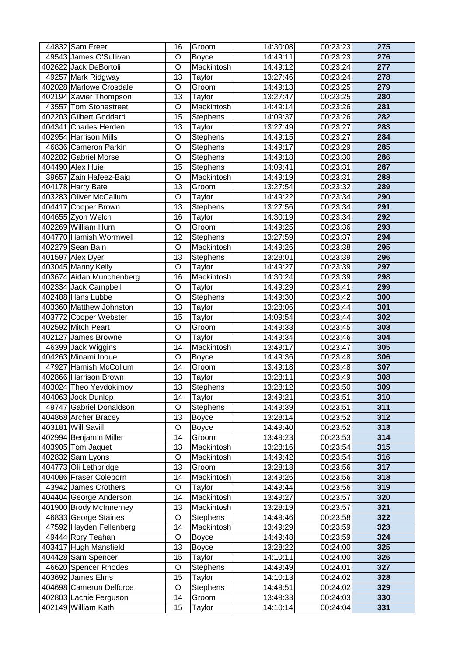| 44832 Sam Freer          | 16                      | Groom           | 14:30:08 | 00:23:23 | 275              |
|--------------------------|-------------------------|-----------------|----------|----------|------------------|
| 49543 James O'Sullivan   | O                       | <b>Boyce</b>    | 14:49:11 | 00:23:23 | 276              |
| 402622 Jack DeBortoli    | O                       | Mackintosh      | 14:49:12 | 00:23:24 | $\overline{277}$ |
| 49257 Mark Ridgway       | $\overline{13}$         | Taylor          | 13:27:46 | 00:23:24 | 278              |
| 402028 Marlowe Crosdale  | O                       | Groom           | 14:49:13 | 00:23:25 | 279              |
| 402194 Xavier Thompson   | $\overline{13}$         | Taylor          | 13:27:47 | 00:23:25 | 280              |
| 43557 Tom Stonestreet    | O                       | Mackintosh      | 14:49:14 | 00:23:26 | 281              |
| 402203 Gilbert Goddard   | $\overline{15}$         | <b>Stephens</b> | 14:09:37 | 00:23:26 | 282              |
| 404341 Charles Herden    | 13                      | Taylor          | 13:27:49 | 00:23:27 | 283              |
| 402954 Harrison Mills    | O                       | <b>Stephens</b> | 14:49:15 | 00:23:27 | 284              |
| 46836 Cameron Parkin     | $\overline{\rm o}$      | <b>Stephens</b> | 14:49:17 | 00:23:29 | 285              |
| 402282 Gabriel Morse     | $\overline{\rm o}$      | Stephens        | 14:49:18 | 00:23:30 | 286              |
| 404490 Alex Huie         | $\overline{15}$         | Stephens        | 14:09:41 | 00:23:31 | 287              |
| 39657 Zain Hafeez-Baig   | O                       | Mackintosh      | 14:49:19 | 00:23:31 | 288              |
| 404178 Harry Bate        | $\overline{13}$         | Groom           | 13:27:54 | 00:23:32 | 289              |
| 403283 Oliver McCallum   | O                       | Taylor          | 14:49:22 | 00:23:34 | 290              |
| 404417 Cooper Brown      | $\overline{13}$         | Stephens        | 13:27:56 | 00:23:34 | 291              |
| 404655 Zyon Welch        | 16                      | Taylor          | 14:30:19 | 00:23:34 | 292              |
| 402269 William Hurn      | $\overline{\rm o}$      | Groom           | 14:49:25 | 00:23:36 | 293              |
| 404770 Hamish Wormwell   | $\overline{12}$         | Stephens        | 13:27:59 | 00:23:37 | 294              |
| 402279 Sean Bain         | O                       | Mackintosh      | 14:49:26 | 00:23:38 | 295              |
| 401597 Alex Dyer         | $\overline{13}$         | Stephens        | 13:28:01 | 00:23:39 | 296              |
| 403045 Manny Kelly       | O                       | Taylor          | 14:49:27 | 00:23:39 | 297              |
| 403674 Aidan Munchenberg | $\overline{16}$         | Mackintosh      | 14:30:24 | 00:23:39 | 298              |
| 402334 Jack Campbell     | O                       | Taylor          | 14:49:29 | 00:23:41 | 299              |
| 402488 Hans Lubbe        | $\overline{\mathsf{o}}$ | Stephens        | 14:49:30 | 00:23:42 | 300              |
| 403360 Matthew Johnston  | $\overline{13}$         | Taylor          | 13:28:06 | 00:23:44 | 301              |
| 403772 Cooper Webster    | 15                      | Taylor          | 14:09:54 | 00:23:44 | 302              |
| 402592 Mitch Peart       | O                       | Groom           | 14:49:33 | 00:23:45 | 303              |
| 402127 James Browne      | O                       | Taylor          | 14:49:34 | 00:23:46 | 304              |
| 46399 Jack Wiggins       | 14                      | Mackintosh      | 13:49:17 | 00:23:47 | 305              |
| 404263 Minami Inoue      | O                       | <b>Boyce</b>    | 14:49:36 | 00:23:48 | 306              |
| 47927 Hamish McCollum    | $\overline{14}$         | Groom           | 13:49:18 | 00:23:48 | 307              |
| 402866 Harrison Brown    | 13                      | Taylor          | 13:28:11 | 00:23:49 | 308              |
| 403024 Theo Yevdokimov   | $\overline{13}$         | Stephens        | 13:28:12 | 00:23:50 | 309              |
| 404063 Jock Dunlop       | 14                      | Taylor          | 13:49:21 | 00:23:51 | 310              |
| 49747 Gabriel Donaldson  | O                       | <b>Stephens</b> | 14:49:39 | 00:23:51 | 311              |
| 404868 Archer Bracey     | $\overline{13}$         | <b>Boyce</b>    | 13:28:14 | 00:23:52 | 312              |
| 403181 Will Savill       | O                       | <b>Boyce</b>    | 14:49:40 | 00:23:52 | 313              |
| 402994 Benjamin Miller   | 14                      | Groom           | 13:49:23 | 00:23:53 | 314              |
| 403905 Tom Jaquet        | 13                      | Mackintosh      | 13:28:16 | 00:23:54 | 315              |
| 402832 Sam Lyons         | O                       | Mackintosh      | 14:49:42 | 00:23:54 | 316              |
| 404773 Oli Lethbridge    | 13                      | Groom           | 13:28:18 | 00:23:56 | 317              |
| 404086 Fraser Coleborn   | 14                      | Mackintosh      | 13:49:26 | 00:23:56 | 318              |
| 43942 James Crothers     | O                       | Taylor          | 14:49:44 | 00:23:56 | 319              |
| 404404 George Anderson   | 14                      | Mackintosh      | 13:49:27 | 00:23:57 | 320              |
| 401900 Brody McInnerney  | 13                      | Mackintosh      | 13:28:19 | 00:23:57 | 321              |
| 46833 George Staines     | O                       | <b>Stephens</b> | 14:49:46 | 00:23:58 | 322              |
| 47592 Hayden Fellenberg  | 14                      | Mackintosh      | 13:49:29 | 00:23:59 | 323              |
| 49444 Rory Teahan        | O                       | <b>Boyce</b>    | 14:49:48 | 00:23:59 | 324              |
| 403417 Hugh Mansfield    | 13                      | <b>Boyce</b>    | 13:28:22 | 00:24:00 | 325              |
| 404428 Sam Spencer       | 15                      | Taylor          | 14:10:11 | 00:24:00 | 326              |
| 46620 Spencer Rhodes     | O                       | <b>Stephens</b> | 14:49:49 | 00:24:01 | 327              |
| 403692 James Elms        | 15                      | Taylor          | 14:10:13 | 00:24:02 | 328              |
| 404698 Cameron Delforce  | O                       | <b>Stephens</b> | 14:49:51 | 00:24:02 | 329              |
| 402803 Lachie Ferguson   | 14                      | Groom           | 13:49:33 | 00:24:03 | 330              |
| 402149 William Kath      | 15                      | Taylor          | 14:10:14 | 00:24:04 | 331              |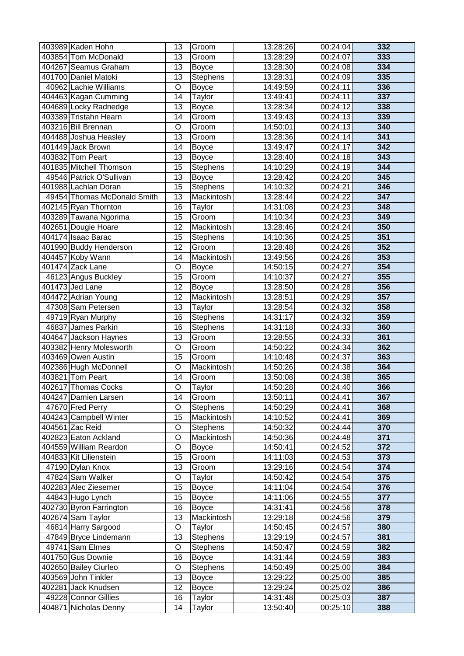| 403989 Kaden Hohn           | 13                 | Groom           | 13:28:26 | 00:24:04 | 332 |
|-----------------------------|--------------------|-----------------|----------|----------|-----|
| 403854 Tom McDonald         | 13                 | Groom           | 13:28:29 | 00:24:07 | 333 |
| 404267 Seamus Graham        | 13                 | <b>Boyce</b>    | 13:28:30 | 00:24:08 | 334 |
| 401700 Daniel Matoki        | 13                 | Stephens        | 13:28:31 | 00:24:09 | 335 |
| 40962 Lachie Williams       | $\overline{\rm o}$ | <b>Boyce</b>    | 14:49:59 | 00:24:11 | 336 |
| 404463 Kagan Cumming        | 14                 | Taylor          | 13:49:41 | 00:24:11 | 337 |
| 404689 Locky Radnedge       | 13                 | <b>Boyce</b>    | 13:28:34 | 00:24:12 | 338 |
| 403389 Tristahn Hearn       | 14                 | Groom           | 13:49:43 | 00:24:13 | 339 |
| 403216 Bill Brennan         | O                  | Groom           | 14:50:01 | 00:24:13 | 340 |
| 404488 Joshua Heasley       | $\overline{13}$    | Groom           | 13:28:36 | 00:24:14 | 341 |
| 401449 Jack Brown           | 14                 | <b>Boyce</b>    | 13:49:47 | 00:24:17 | 342 |
| 403832 Tom Peart            | 13                 | <b>Boyce</b>    | 13:28:40 | 00:24:18 | 343 |
| 401835 Mitchell Thomson     | $\overline{15}$    | Stephens        | 14:10:29 | 00:24:19 | 344 |
| 49546 Patrick O'Sullivan    | 13                 | <b>Boyce</b>    | 13:28:42 | 00:24:20 | 345 |
| 401988 Lachlan Doran        | $\overline{15}$    | Stephens        | 14:10:32 | 00:24:21 | 346 |
| 49454 Thomas McDonald Smith | 13                 | Mackintosh      | 13:28:44 | 00:24:22 | 347 |
| 402145 Ryan Thornton        | 16                 | Taylor          | 14:31:08 | 00:24:23 | 348 |
| 403289 Tawana Ngorima       | 15                 | Groom           | 14:10:34 | 00:24:23 | 349 |
| 402651 Dougie Hoare         | $\overline{12}$    | Mackintosh      | 13:28:46 | 00:24:24 | 350 |
| 404174 Isaac Barac          | 15                 | Stephens        | 14:10:36 | 00:24:25 | 351 |
| 401990 Buddy Henderson      | 12                 | Groom           | 13:28:48 | 00:24:26 | 352 |
| 404457 Koby Wann            | 14                 | Mackintosh      | 13:49:56 | 00:24:26 | 353 |
| 401474 Zack Lane            | O                  | <b>Boyce</b>    | 14:50:15 | 00:24:27 | 354 |
| 46123 Angus Buckley         | $\overline{15}$    | Groom           | 14:10:37 | 00:24:27 | 355 |
| 401473 Jed Lane             | 12                 | <b>Boyce</b>    | 13:28:50 | 00:24:28 | 356 |
| 404472 Adrian Young         | $\overline{12}$    | Mackintosh      | 13:28:51 | 00:24:29 | 357 |
| 47308 Sam Petersen          | 13                 | Taylor          | 13:28:54 | 00:24:32 | 358 |
| 49719 Ryan Murphy           | 16                 | Stephens        | 14:31:17 | 00:24:32 | 359 |
| 46837 James Parkin          | 16                 | Stephens        | 14:31:18 | 00:24:33 | 360 |
| 404647 Jackson Haynes       | 13                 | Groom           | 13:28:55 | 00:24:33 | 361 |
| 403382 Henry Molesworth     | O                  | Groom           | 14:50:22 | 00:24:34 | 362 |
| 403469 Owen Austin          | 15                 | Groom           | 14:10:48 | 00:24:37 | 363 |
| 402386 Hugh McDonnell       | $\overline{\rm o}$ | Mackintosh      | 14:50:26 | 00:24:38 | 364 |
| 403821 Tom Peart            | 14                 | Groom           | 13:50:08 | 00:24:38 | 365 |
| 402617 Thomas Cocks         | $\overline{\rm o}$ | Taylor          | 14:50:28 | 00:24:40 | 366 |
| 404247 Damien Larsen        | 14                 | Groom           | 13:50:11 | 00:24:41 | 367 |
| 47670 Fred Perry            | O                  | <b>Stephens</b> | 14:50:29 | 00:24:41 | 368 |
| 404243 Campbell Winter      | $\overline{15}$    | Mackintosh      | 14:10:52 | 00:24:41 | 369 |
| 404561 Zac Reid             | O                  | <b>Stephens</b> | 14:50:32 | 00:24:44 | 370 |
| 402823 Eaton Ackland        | O                  | Mackintosh      | 14:50:36 | 00:24:48 | 371 |
| 404559 William Reardon      | O                  | <b>Boyce</b>    | 14:50:41 | 00:24:52 | 372 |
| 404833 Kit Lilienstein      | 15                 | Groom           | 14:11:03 | 00:24:53 | 373 |
| 47190 Dylan Knox            | 13                 | Groom           | 13:29:16 | 00:24:54 | 374 |
| 47824 Sam Walker            | O                  | Taylor          | 14:50:42 | 00:24:54 | 375 |
| 402283 Alec Ziesemer        | $\overline{15}$    | <b>Boyce</b>    | 14:11:04 | 00:24:54 | 376 |
| 44843 Hugo Lynch            | 15                 | <b>Boyce</b>    | 14:11:06 | 00:24:55 | 377 |
| 402730 Byron Farrington     | 16                 | <b>Boyce</b>    | 14:31:41 | 00:24:56 | 378 |
| 402674 Sam Taylor           | 13                 | Mackintosh      | 13:29:18 | 00:24:56 | 379 |
| 46814 Harry Sargood         | O                  | Taylor          | 14:50:45 | 00:24:57 | 380 |
| 47849 Bryce Lindemann       | 13                 | <b>Stephens</b> | 13:29:19 | 00:24:57 | 381 |
| 49741 Sam Elmes             | O                  | <b>Stephens</b> | 14:50:47 | 00:24:59 | 382 |
| 401750 Gus Downie           | 16                 | <b>Boyce</b>    | 14:31:44 | 00:24:59 | 383 |
| 402650 Bailey Ciurleo       | O                  | <b>Stephens</b> | 14:50:49 | 00:25:00 | 384 |
| 403569 John Tinkler         | 13                 | <b>Boyce</b>    | 13:29:22 | 00:25:00 | 385 |
| 402281 Jack Knudsen         | 12                 | <b>Boyce</b>    | 13:29:24 | 00:25:02 | 386 |
| 49228 Connor Gillies        | 16                 | Taylor          | 14:31:48 | 00:25:03 | 387 |
| 404871 Nicholas Denny       | 14                 | Taylor          | 13:50:40 | 00:25:10 | 388 |
|                             |                    |                 |          |          |     |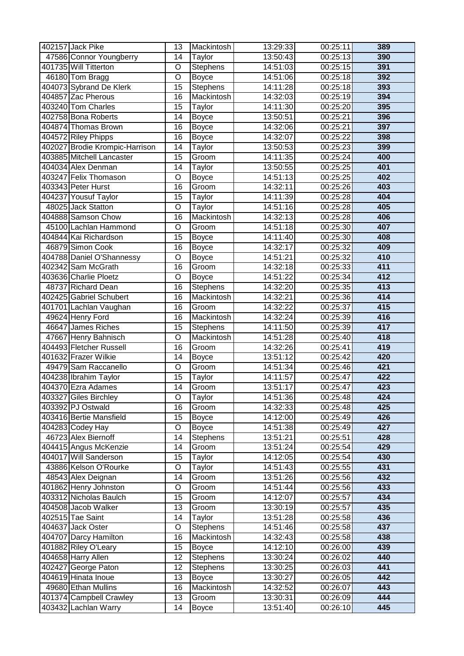| 402157 Jack Pike                           | 13                 | Mackintosh                 | 13:29:33              | 00:25:11             | 389              |
|--------------------------------------------|--------------------|----------------------------|-----------------------|----------------------|------------------|
| 47586 Connor Youngberry                    | 14                 | Taylor                     | 13:50:43              | 00:25:13             | 390              |
| 401735 Will Titterton                      | O                  | Stephens                   | 14:51:03              | 00:25:15             | 391              |
| 46180 Tom Bragg                            | $\overline{O}$     | <b>Boyce</b>               | 14:51:06              | 00:25:18             | 392              |
| 404073 Sybrand De Klerk                    | $\overline{15}$    | Stephens                   | 14:11:28              | 00:25:18             | 393              |
| 404857 Zac Pherous                         | 16                 | Mackintosh                 | 14:32:03              | 00:25:19             | 394              |
| 403240 Tom Charles                         | $\overline{15}$    | Taylor                     | 14:11:30              | 00:25:20             | 395              |
| 402758 Bona Roberts                        | 14                 | <b>Boyce</b>               | 13:50:51              | 00:25:21             | 396              |
| 404874 Thomas Brown                        | 16                 | <b>Boyce</b>               | 14:32:06              | 00:25:21             | 397              |
| 404572 Riley Phipps                        | 16                 | <b>Boyce</b>               | 14:32:07              | 00:25:22             | 398              |
| 402027 Brodie Krompic-Harrison             | 14                 | Taylor                     | 13:50:53              | 00:25:23             | 399              |
| 403885 Mitchell Lancaster                  | $\overline{15}$    | Groom                      | 14:11:35              | 00:25:24             | 400              |
| 404034 Alex Denman                         | 14                 | Taylor                     | 13:50:55              | 00:25:25             | 401              |
| 403247 Felix Thomason                      | O                  | <b>Boyce</b>               | 14:51:13              | 00:25:25             | 402              |
| 403343 Peter Hurst                         | 16                 | Groom                      | 14:32:11              | 00:25:26             | 403              |
| 404237 Yousuf Taylor                       | 15                 | Taylor                     | 14:11:39              | 00:25:28             | 404              |
| 48025 Jack Statton                         | O                  | Taylor                     | 14:51:16              | 00:25:28             | 405              |
| 404888 Samson Chow                         | 16                 | Mackintosh                 | 14:32:13              | 00:25:28             | 406              |
| 45100 Lachlan Hammond                      | $\overline{\rm o}$ | Groom                      | 14:51:18              | 00:25:30             | 407              |
| 404844 Kai Richardson                      | 15                 | <b>Boyce</b>               | 14:11:40              | 00:25:30             | 408              |
| 46879 Simon Cook                           | 16                 | <b>Boyce</b>               | 14:32:17              | 00:25:32             | 409              |
| 404788 Daniel O'Shannessy                  | $\overline{\rm o}$ | <b>Boyce</b>               | 14:51:21              | 00:25:32             | 410              |
| 402342 Sam McGrath                         | $\overline{16}$    | Groom                      | 14:32:18              | 00:25:33             | 411              |
| 403636 Charlie Ploetz                      | O                  | <b>Boyce</b>               | 14:51:22              | 00:25:34             | $\overline{412}$ |
| 48737 Richard Dean                         | $\overline{16}$    | Stephens                   | 14:32:20              | 00:25:35             | $\overline{413}$ |
| 402425 Gabriel Schubert                    | 16                 | Mackintosh                 | 14:32:21              | 00:25:36             | 414              |
| 401701 Lachlan Vaughan                     | $\overline{16}$    | Groom                      | 14:32:22              | 00:25:37             | 415              |
| 49624 Henry Ford                           | 16                 | Mackintosh                 | 14:32:24              | 00:25:39             | 416              |
| 46647 James Riches                         | 15                 | <b>Stephens</b>            | 14:11:50              | 00:25:39             | 417              |
| 47667 Henry Bahnisch                       | O                  | Mackintosh                 | 14:51:28              | 00:25:40             | 418              |
| 404493 Fletcher Russell                    | 16                 | Groom                      | 14:32:26              | 00:25:41             | 419              |
| 401632 Frazer Wilkie                       | 14                 | <b>Boyce</b>               | 13:51:12              | 00:25:42             | 420              |
| 49479 Sam Raccanello                       | O                  | Groom                      | 14:51:34              | 00:25:46             | 421              |
| 404238 Ibrahim Taylor                      | $\overline{15}$    | Taylor                     | 14:11:57              | 00:25:47             | 422              |
| 404370 Ezra Adames                         | $\overline{14}$    | Groom                      | 13:51:17              | 00:25:47             | 423              |
| 403327 Giles Birchley                      | O                  | Taylor                     | 14:51:36              | 00:25:48             | 424              |
| 403392 PJ Ostwald                          | 16                 | Groom                      | 14:32:33              | 00:25:48             | 425              |
| 403416 Bertie Mansfield                    | 15                 | <b>Boyce</b>               | 14:12:00              | 00:25:49             | 426              |
| 404283 Codey Hay                           | O                  | <b>Boyce</b>               | 14:51:38              | 00:25:49             | 427              |
| 46723 Alex Biernoff                        | 14                 | <b>Stephens</b>            | 13:51:21              | 00:25:51             | 428              |
| 404415 Angus McKenzie                      | 14                 | Groom                      | 13:51:24              | 00:25:54             | 429              |
| 404017 Will Sanderson                      | 15                 | Taylor                     | 14:12:05              | 00:25:54             | 430              |
| 43886 Kelson O'Rourke                      | O                  | Taylor                     | 14:51:43              | 00:25:55             | 431              |
| 48543 Alex Deignan                         | 14                 | Groom                      | 13:51:26              | 00:25:56             | 432              |
| 401862 Henry Johnston                      | O                  | Groom                      | 14:51:44              | 00:25:56             | 433              |
| 403312 Nicholas Baulch                     | 15                 | Groom                      | 14:12:07              | 00:25:57             | 434              |
| 404508 Jacob Walker                        | 13                 | Groom                      | 13:30:19              | 00:25:57             | 435              |
| 402515 Tae Saint                           | 14                 | Taylor                     | 13:51:28              | 00:25:58             | 436              |
| 404637 Jack Oster                          | $\overline{O}$     | <b>Stephens</b>            | 14:51:46              | 00:25:58             | 437              |
| 404707 Darcy Hamilton                      | 16                 | Mackintosh                 | 14:32:43              | 00:25:58             | 438              |
| 401882 Riley O'Leary                       | 15                 | <b>Boyce</b>               | 14:12:10              | 00:26:00             | 439              |
| 404658 Harry Allen                         | 12                 | <b>Stephens</b>            | $\overline{13:}30:24$ | 00:26:02             | 440              |
| 402427 George Paton                        | 12                 | <b>Stephens</b>            | 13:30:25              | 00:26:03             | 441<br>442       |
| 404619 Hinata Inoue<br>49680 Ethan Mullins | 13<br>16           | <b>Boyce</b><br>Mackintosh | 13:30:27<br>14:32:52  | 00:26:05<br>00:26:07 | 443              |
| 401374 Campbell Crawley                    | 13                 | Groom                      | 13:30:31              | 00:26:09             | 444              |
| 403432 Lachlan Warry                       | 14                 | <b>Boyce</b>               | 13:51:40              | 00:26:10             | 445              |
|                                            |                    |                            |                       |                      |                  |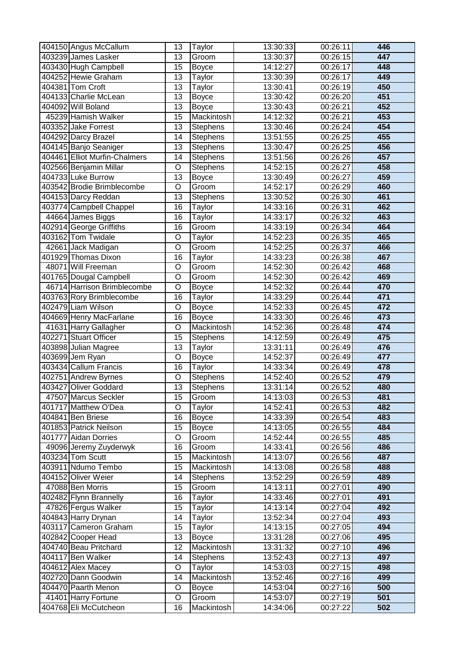| 404150 Angus McCallum                        | 13                    | Taylor           | 13:30:33             | 00:26:11             | 446        |
|----------------------------------------------|-----------------------|------------------|----------------------|----------------------|------------|
| 403239 James Lasker                          | 13                    | Groom            | 13:30:37             | 00:26:15             | 447        |
| 403430 Hugh Campbell                         | $\overline{15}$       | <b>Boyce</b>     | 14:12:27             | 00:26:17             | 448        |
| 404252 Hewie Graham                          | 13                    | Taylor           | 13:30:39             | 00:26:17             | 449        |
| 404381 Tom Croft                             | $\overline{13}$       | Taylor           | 13:30:41             | 00:26:19             | 450        |
| 404133 Charlie McLean                        | 13                    | <b>Boyce</b>     | 13:30:42             | 00:26:20             | 451        |
| 404092 Will Boland                           | $\overline{13}$       | <b>Boyce</b>     | 13:30:43             | 00:26:21             | 452        |
| 45239 Hamish Walker                          | 15                    | Mackintosh       | 14:12:32             | 00:26:21             | 453        |
| 403352 Jake Forrest                          | 13                    | <b>Stephens</b>  | 13:30:46             | 00:26:24             | 454        |
| 404292 Darcy Brazel                          | 14                    | Stephens         | 13:51:55             | 00:26:25             | 455        |
| 404145 Banjo Seaniger                        | 13                    | <b>Stephens</b>  | 13:30:47             | 00:26:25             | 456        |
| 404461 Elliot Murfin-Chalmers                | $\overline{14}$       | Stephens         | 13:51:56             | 00:26:26             | 457        |
| 402566 Benjamin Millar                       | $\overline{O}$        | Stephens         | 14:52:15             | 00:26:27             | 458        |
| 404733 Luke Burrow                           | $\overline{13}$       | <b>Boyce</b>     | 13:30:49             | 00:26:27             | 459        |
| 403542 Brodie Brimblecombe                   | $\overline{O}$        | Groom            | 14:52:17             | 00:26:29             | 460        |
| 404153 Darcy Reddan                          | 13                    | <b>Stephens</b>  | 13:30:52             | 00:26:30             | 461        |
| 403774 Campbell Chappel                      | 16                    | Taylor           | 14:33:16             | 00:26:31             | 462        |
| 44664 James Biggs                            | 16                    | Taylor           | 14:33:17             | 00:26:32             | 463        |
| 402914 George Griffiths                      | 16                    | Groom            | 14:33:19             | 00:26:34             | 464        |
| 403162 Tom Twidale                           | O                     | Taylor           | 14:52:23             | 00:26:35             | 465        |
| 42661 Jack Madigan                           | O                     | Groom            | 14:52:25             | 00:26:37             | 466        |
| 401929 Thomas Dixon                          | 16                    | Taylor           | 14:33:23             | 00:26:38             | 467        |
| 48071 Will Freeman                           | O                     | Groom            | 14:52:30             | 00:26:42             | 468        |
| 401765 Dougal Campbell                       | O                     | Groom            | 14:52:30             | 00:26:42             | 469        |
| 46714 Harrison Brimblecombe                  | O                     | <b>Boyce</b>     | 14:52:32             | 00:26:44             | 470        |
| 403763 Rory Brimblecombe                     | $\overline{16}$       | Taylor           | 14:33:29             | 00:26:44             | 471        |
| 402479 Liam Wilson                           | $\overline{O}$        | <b>Boyce</b>     | 14:52:33             | 00:26:45             | 472        |
| 404669 Henry MacFarlane                      | $\overline{16}$       | <b>Boyce</b>     | 14:33:30             | 00:26:46             | 473        |
| 41631 Harry Gallagher                        | $\overline{O}$        | Mackintosh       | 14:52:36             | 00:26:48             | 474        |
| 402271 Stuart Officer                        | $\overline{15}$       | <b>Stephens</b>  | 14:12:59             | 00:26:49             | 475        |
| 403898 Julian Magree                         | 13                    | Taylor           | 13:31:11             | 00:26:49             | 476        |
| 403699 Jem Ryan                              | O                     | <b>Boyce</b>     | 14:52:37             | 00:26:49             | 477        |
| 403434 Callum Francis                        | $\overline{16}$       | Taylor           | 14:33:34             | 00:26:49             | 478        |
| 402751 Andrew Byrnes                         | $\overline{O}$        | Stephens         | 14:52:40             | 00:26:52             | 479        |
| 403427 Oliver Goddard                        | $\overline{13}$       | Stephens         | 13:31:14             | 00:26:52             | 480        |
| 47507 Marcus Seckler                         | 15                    | Groom            | 14:13:03             | 00:26:53             | 481        |
| 401717 Matthew O'Dea                         | O                     | Taylor           | 14:52:41             | 00:26:53             | 482        |
| 404841 Ben Briese                            | 16                    | <b>Boyce</b>     | 14:33:39             | 00:26:54             | 483        |
| 401853 Patrick Neilson                       | 15                    | <b>Boyce</b>     | 14:13:05             | 00:26:55             | 484        |
| 401777 Aidan Dorries                         | O                     | Groom            | 14:52:44             | 00:26:55             | 485        |
| 49096 Jeremy Zuyderwyk                       | 16                    | Groom            | 14:33:41             | 00:26:56             | 486        |
| 403234 Tom Scutt                             | 15                    | Mackintosh       | 14:13:07             | 00:26:56             | 487        |
| 403911 Ndumo Tembo                           | 15                    | Mackintosh       | 14:13:08             | 00:26:58             | 488        |
| 404152 Oliver Weier                          | 14                    | <b>Stephens</b>  | 13:52:29             | 00:26:59             | 489        |
| 47088 Ben Morris                             | 15                    | Groom            | 14:13:11             | 00:27:01             | 490        |
| 402482 Flynn Brannelly                       | 16                    | Taylor           | 14:33:46             | 00:27:01             | 491<br>492 |
| 47826 Fergus Walker                          | 15                    | Taylor           | 14:13:14             | 00:27:04             | 493        |
| 404843 Harry Drynan<br>403117 Cameron Graham | 14<br>$\overline{15}$ | Taylor<br>Taylor | 13:52:34<br>14:13:15 | 00:27:04<br>00:27:05 | 494        |
| 402842 Cooper Head                           | 13                    | <b>Boyce</b>     | 13:31:28             | 00:27:06             | 495        |
| 404740 Beau Pritchard                        | 12                    | Mackintosh       | 13:31:32             | 00:27:10             | 496        |
| 404117 Ben Walker                            | 14                    | <b>Stephens</b>  | 13:52:43             | 00:27:13             | 497        |
| 404612 Alex Macey                            | O                     | Taylor           | 14:53:03             | 00:27:15             | 498        |
| 402720 Dann Goodwin                          | 14                    | Mackintosh       | 13:52:46             | 00:27:16             | 499        |
| 404470 Paarth Menon                          | O                     | <b>Boyce</b>     | 14:53:04             | 00:27:16             | 500        |
| 41401 Harry Fortune                          | $\circ$               | Groom            | 14:53:07             | 00:27:19             | 501        |
| 404768 Eli McCutcheon                        | 16                    | Mackintosh       | 14:34:06             | 00:27:22             | 502        |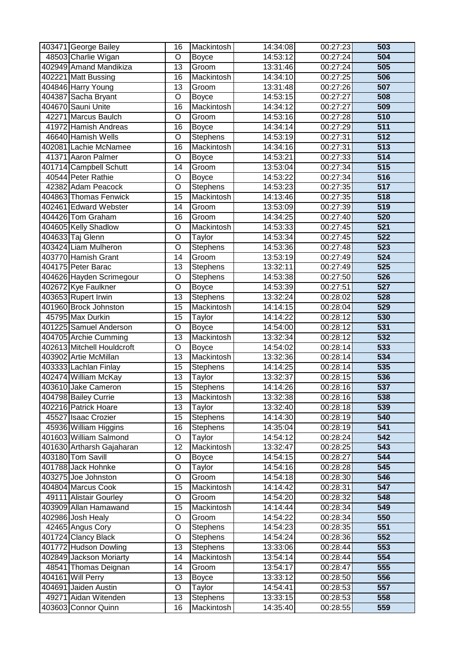| 403471 George Bailey                      | 16                 | Mackintosh          | 14:34:08             | 00:27:23             | 503                     |
|-------------------------------------------|--------------------|---------------------|----------------------|----------------------|-------------------------|
| 48503 Charlie Wigan                       | O                  | <b>Boyce</b>        | 14:53:12             | 00:27:24             | 504                     |
| 402949 Amand Mandikiza                    | 13                 | Groom               | 13:31:46             | 00:27:24             | 505                     |
| 402221 Matt Bussing                       | 16                 | Mackintosh          | 14:34:10             | 00:27:25             | 506                     |
| 404846 Harry Young                        | 13                 | Groom               | 13:31:48             | 00:27:26             | 507                     |
| 404387 Sacha Bryant                       | O                  | <b>Boyce</b>        | 14:53:15             | 00:27:27             | 508                     |
| 404670 Sauni Unite                        | 16                 | Mackintosh          | 14:34:12             | 00:27:27             | 509                     |
| 42271 Marcus Baulch                       | O                  | Groom               | 14:53:16             | 00:27:28             | 510                     |
| 41972 Hamish Andreas                      | 16                 | <b>Boyce</b>        | 14:34:14             | 00:27:29             | 511                     |
| 46640 Hamish Wells                        | O                  | <b>Stephens</b>     | 14:53:19             | 00:27:31             | 512                     |
| 402081 Lachie McNamee                     | $\overline{16}$    | Mackintosh          | 14:34:16             | 00:27:31             | $\overline{513}$        |
| 41371 Aaron Palmer                        | O                  | <b>Boyce</b>        | 14:53:21             | 00:27:33             | 514                     |
| 401714 Campbell Schutt                    | 14                 | Groom               | 13:53:04             | 00:27:34             | 515                     |
| 40544 Peter Rathie                        | $\overline{\rm o}$ | <b>Boyce</b>        | 14:53:22             | 00:27:34             | 516                     |
| 42382 Adam Peacock                        | $\overline{\rm o}$ | Stephens            | 14:53:23             | 00:27:35             | 517                     |
| 404863 Thomas Fenwick                     | $\overline{15}$    | Mackintosh          | 14:13:46             | 00:27:35             | 518                     |
| 402461 Edward Webster                     | 14                 | Groom               | 13:53:09             | 00:27:39             | 519                     |
| 404426 Tom Graham                         | 16                 | Groom               | 14:34:25             | 00:27:40             | 520                     |
| 404605 Kelly Shadlow                      | $\overline{\rm o}$ | Mackintosh          | 14:53:33             | 00:27:45             | 521                     |
| 404633 Taj Glenn                          | $\overline{\rm o}$ | Taylor              | 14:53:34             | 00:27:45             | 522                     |
| 403424 Liam Mulheron                      | $\overline{\rm o}$ | Stephens            | 14:53:36             | 00:27:48             | 523                     |
| 403770 Hamish Grant                       | 14                 | Groom               | 13:53:19             | 00:27:49             | 524                     |
| 404175 Peter Barac                        | 13                 | <b>Stephens</b>     | 13:32:11             | 00:27:49             | 525                     |
| 404626 Hayden Scrimegour                  | O                  | <b>Stephens</b>     | 14:53:38             | 00:27:50             | 526                     |
| 402672 Kye Faulkner                       | O                  | Boyce               | 14:53:39             | 00:27:51             | 527                     |
| 403653 Rupert Irwin                       | $\overline{13}$    | Stephens            | 13:32:24             | 00:28:02             | 528                     |
| 401960 Brock Johnston                     | $\overline{15}$    | Mackintosh          | 14:14:15             | 00:28:04             | 529                     |
| 45795 Max Durkin                          | $\overline{15}$    | Taylor              | 14:14:22             | 00:28:12             | 530                     |
| 401225 Samuel Anderson                    | O                  | <b>Boyce</b>        | 14:54:00             | 00:28:12             | 531                     |
| 404705 Archie Cumming                     | 13                 | Mackintosh          | 13:32:34             | 00:28:12             | 532                     |
| 402613 Mitchell Houldcroft                | O                  | <b>Boyce</b>        | 14:54:02             | 00:28:14             | 533                     |
| 403902 Artie McMillan                     | $\overline{13}$    | Mackintosh          | 13:32:36             | 00:28:14             | 534                     |
| 403333 Lachlan Finlay                     | 15                 | Stephens            | 14:14:25             | 00:28:14             | 535                     |
| 402474 William McKay                      | $\overline{13}$    | Taylor              | 13:32:37             | 00:28:15             | 536                     |
| 403610 Jake Cameron                       | $\overline{15}$    | Stephens            | 14:14:26             | 00:28:16             | $\overline{537}$        |
| 404798 Bailey Currie                      | 13                 | Mackintosh          | 13:32:38             | 00:28:16             | 538                     |
| 402216 Patrick Hoare                      | 13                 | Taylor              | 13:32:40             | 00:28:18             | 539                     |
| 45527 Isaac Crozier                       | 15                 | Stephens            | 14:14:30             | 00:28:19             | 540                     |
| 45936 William Higgins                     | 16                 | <b>Stephens</b>     | 14:35:04             | 00:28:19             | 541                     |
| 401603 William Salmond                    | O                  | Taylor              | 14:54:12             | 00:28:24             | 542                     |
| 401630 Artharsh Gajaharan                 | 12                 | Mackintosh          | 13:32:47             | 00:28:25             | 543                     |
| 403180 Tom Savill<br>401788 Jack Hohnke   | O<br>O             | <b>Boyce</b>        | 14:54:15<br>14:54:16 | 00:28:27<br>00:28:28 | $\overline{544}$<br>545 |
|                                           |                    | Taylor              |                      |                      | 546                     |
| 403275 Joe Johnston<br>404804 Marcus Cook | O<br>15            | Groom<br>Mackintosh | 14:54:18<br>14:14:42 | 00:28:30<br>00:28:31 | 547                     |
| 49111 Alistair Gourley                    | O                  | Groom               | 14:54:20             | 00:28:32             | 548                     |
| 403909 Allan Hamawand                     | 15                 | Mackintosh          | 14:14:44             | 00:28:34             | 549                     |
| 402986 Josh Healy                         | O                  | Groom               | 14:54:22             | 00:28:34             | 550                     |
| 42465 Angus Cory                          | O                  | <b>Stephens</b>     | 14:54:23             | 00:28:35             | 551                     |
| 401724 Clancy Black                       | O                  | <b>Stephens</b>     | 14:54:24             | 00:28:36             | 552                     |
| 401772 Hudson Dowling                     | 13                 | <b>Stephens</b>     | 13:33:06             | 00:28:44             | 553                     |
| 402849 Jackson Moriarty                   | 14                 | Mackintosh          | 13:54:14             | 00:28:44             | 554                     |
| 48541 Thomas Deignan                      | 14                 | Groom               | 13:54:17             | 00:28:47             | 555                     |
| 404161 Will Perry                         | 13                 | <b>Boyce</b>        | 13:33:12             | 00:28:50             | 556                     |
| 404691 Jaiden Austin                      | O                  | Taylor              | 14:54:41             | 00:28:53             | 557                     |
| 49271 Aidan Witenden                      | 13                 | <b>Stephens</b>     | 13:33:15             | 00:28:53             | 558                     |
| 403603 Connor Quinn                       | 16                 | Mackintosh          | 14:35:40             | 00:28:55             | 559                     |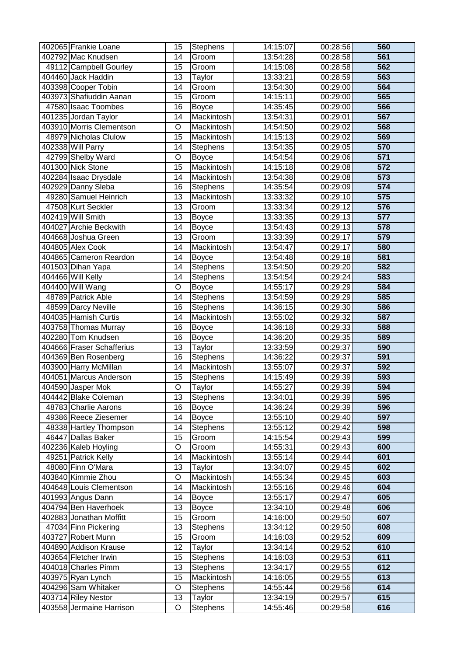| 402065 Frankie Loane      | 15              | Stephens             | 14:15:07 | 00:28:56 | 560              |
|---------------------------|-----------------|----------------------|----------|----------|------------------|
| 402792 Mac Knudsen        | 14              | Groom                | 13:54:28 | 00:28:58 | 561              |
| 49112 Campbell Gourley    | 15              | Groom                | 14:15:08 | 00:28:58 | 562              |
| 404460 Jack Haddin        | 13              | Taylor               | 13:33:21 | 00:28:59 | 563              |
| 403398 Cooper Tobin       | $\overline{14}$ | Groom                | 13:54:30 | 00:29:00 | 564              |
| 403973 Shafiuddin Aanan   | 15              | Groom                | 14:15:11 | 00:29:00 | 565              |
| 47580 Isaac Toombes       | $\overline{16}$ | <b>Boyce</b>         | 14:35:45 | 00:29:00 | 566              |
| 401235 Jordan Taylor      | 14              | Mackintosh           | 13:54:31 | 00:29:01 | 567              |
| 403910 Morris Clementson  | O               | Mackintosh           | 14:54:50 | 00:29:02 | 568              |
| 48979 Nicholas Clulow     | $\overline{15}$ | Mackintosh           | 14:15:13 | 00:29:02 | 569              |
| 402338 Will Parry         | 14              | Stephens             | 13:54:35 | 00:29:05 | 570              |
| 42799 Shelby Ward         | $\overline{O}$  | <b>Boyce</b>         | 14:54:54 | 00:29:06 | $\overline{571}$ |
| 401300 Nick Stone         | 15              | Mackintosh           | 14:15:18 | 00:29:08 | $\overline{572}$ |
| 402284 Isaac Drysdale     | $\overline{14}$ | Mackintosh           | 13:54:38 | 00:29:08 | $\overline{573}$ |
| 402929 Danny Sleba        | 16              | <b>Stephens</b>      | 14:35:54 | 00:29:09 | $\overline{574}$ |
| 49280 Samuel Heinrich     | 13              | Mackintosh           | 13:33:32 | 00:29:10 | 575              |
| 47508 Kurt Seckler        | 13              | Groom                | 13:33:34 | 00:29:12 | 576              |
| 402419 Will Smith         | 13              | <b>Boyce</b>         | 13:33:35 | 00:29:13 | $\overline{577}$ |
| 404027 Archie Beckwith    | 14              | <b>Boyce</b>         | 13:54:43 | 00:29:13 | 578              |
| 404668 Joshua Green       | 13              | Groom                | 13:33:39 | 00:29:17 | 579              |
| 404805 Alex Cook          | 14              | Mackintosh           | 13:54:47 | 00:29:17 | 580              |
| 404865 Cameron Reardon    | 14              | <b>Boyce</b>         | 13:54:48 | 00:29:18 | 581              |
| 401503 Dihan Yapa         | 14              | <b>Stephens</b>      | 13:54:50 | 00:29:20 | 582              |
| 404466 Will Kelly         | 14              | Stephens             | 13:54:54 | 00:29:24 | 583              |
| 404400 Will Wang          | O               | <b>Boyce</b>         | 14:55:17 | 00:29:29 | 584              |
| 48789 Patrick Able        | $\overline{14}$ | Stephens             | 13:54:59 | 00:29:29 | 585              |
| 48599 Darcy Neville       | $\overline{16}$ | <b>Stephens</b>      | 14:36:15 | 00:29:30 | 586              |
| 404035 Hamish Curtis      | $\overline{14}$ | Mackintosh           | 13:55:02 | 00:29:32 | 587              |
| 403758 Thomas Murray      | 16              | <b>Boyce</b>         | 14:36:18 | 00:29:33 | 588              |
| 402280 Tom Knudsen        | 16              | <b>Boyce</b>         | 14:36:20 | 00:29:35 | 589              |
| 404666 Fraser Schafferius | 13              | Taylor               | 13:33:59 | 00:29:37 | 590              |
| 404369 Ben Rosenberg      | 16              | Stephens             | 14:36:22 | 00:29:37 | 591              |
| 403900 Harry McMillan     | 14              | Mackintosh           | 13:55:07 | 00:29:37 | 592              |
| 404051 Marcus Anderson    | 15              | <b>Stephens</b>      | 14:15:49 | 00:29:39 | 593              |
| 404590 Jasper Mok         | $\overline{O}$  | $\overline{T}$ aylor | 14:55:27 | 00:29:39 | 594              |
| 404442 Blake Coleman      | 13              | <b>Stephens</b>      | 13:34:01 | 00:29:39 | 595              |
| 48783 Charlie Aarons      | 16              | <b>Boyce</b>         | 14:36:24 | 00:29:39 | 596              |
| 49386 Reece Ziesemer      | 14              | <b>Boyce</b>         | 13:55:10 | 00:29:40 | 597              |
| 48338 Hartley Thompson    | 14              | <b>Stephens</b>      | 13:55:12 | 00:29:42 | 598              |
| 46447 Dallas Baker        | 15              | Groom                | 14:15:54 | 00:29:43 | 599              |
| 402236 Kaleb Hoyling      | O               | Groom                | 14:55:31 | 00:29:43 | 600              |
| 49251 Patrick Kelly       | 14              | Mackintosh           | 13:55:14 | 00:29:44 | 601              |
| 48080 Finn O'Mara         | 13              | Taylor               | 13:34:07 | 00:29:45 | 602              |
| 403840 Kimmie Zhou        | O               | Mackintosh           | 14:55:34 | 00:29:45 | 603              |
| 404648 Louis Clementson   | 14              | Mackintosh           | 13:55:16 | 00:29:46 | 604              |
| 401993 Angus Dann         | 14              | <b>Boyce</b>         | 13:55:17 | 00:29:47 | 605              |
| 404794 Ben Haverhoek      | 13              | <b>Boyce</b>         | 13:34:10 | 00:29:48 | 606              |
| 402883 Jonathan Moffitt   | 15              | Groom                | 14:16:00 | 00:29:50 | 607              |
| 47034 Finn Pickering      | 13              | <b>Stephens</b>      | 13:34:12 | 00:29:50 | 608              |
| 403727 Robert Munn        | 15              | Groom                | 14:16:03 | 00:29:52 | 609              |
| 404890 Addison Krause     | 12              | Taylor               | 13:34:14 | 00:29:52 | 610              |
| 403654 Fletcher Irwin     | 15              | <b>Stephens</b>      | 14:16:03 | 00:29:53 | 611              |
| 404018 Charles Pimm       | 13              | Stephens             | 13:34:17 | 00:29:55 | 612              |
| 403975 Ryan Lynch         | 15              | Mackintosh           | 14:16:05 | 00:29:55 | 613              |
| 404296 Sam Whitaker       | O               | <b>Stephens</b>      | 14:55:44 | 00:29:56 | 614              |
| 403714 Riley Nestor       | 13              | Taylor               | 13:34:19 | 00:29:57 | 615              |
| 403558 Jermaine Harrison  | O               | Stephens             | 14:55:46 | 00:29:58 | 616              |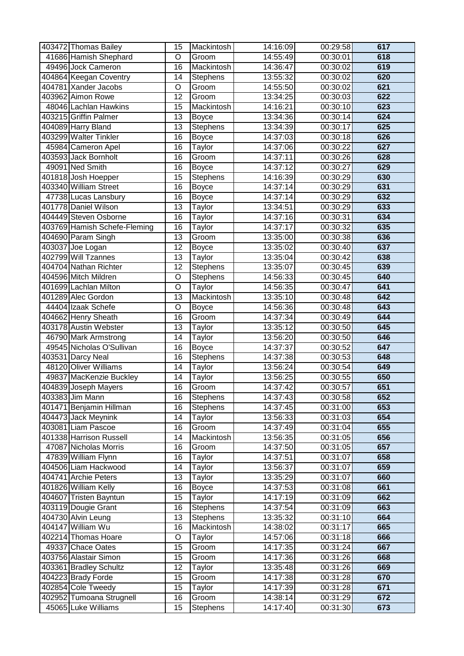| 403472 Thomas Bailey         | 15              | Mackintosh      | 14:16:09 | 00:29:58 | 617 |
|------------------------------|-----------------|-----------------|----------|----------|-----|
| 41686 Hamish Shephard        | O               | Groom           | 14:55:49 | 00:30:01 | 618 |
| 49496 Jock Cameron           | 16              | Mackintosh      | 14:36:47 | 00:30:02 | 619 |
| 404864 Keegan Coventry       | 14              | <b>Stephens</b> | 13:55:32 | 00:30:02 | 620 |
| 404781 Xander Jacobs         | O               | Groom           | 14:55:50 | 00:30:02 | 621 |
| 403962 Aimon Rowe            | 12              | Groom           | 13:34:25 | 00:30:03 | 622 |
| 48046 Lachlan Hawkins        | $\overline{15}$ | Mackintosh      | 14:16:21 | 00:30:10 | 623 |
| 403215 Griffin Palmer        | 13              | <b>Boyce</b>    | 13:34:36 | 00:30:14 | 624 |
| 404089 Harry Bland           | 13              | <b>Stephens</b> | 13:34:39 | 00:30:17 | 625 |
| 403299 Walter Tinkler        | 16              | <b>Boyce</b>    | 14:37:03 | 00:30:18 | 626 |
| 45984 Cameron Apel           | 16              | Taylor          | 14:37:06 | 00:30:22 | 627 |
| 403593 Jack Bornholt         | $\overline{16}$ | Groom           | 14:37:11 | 00:30:26 | 628 |
| 49091 Ned Smith              | 16              | <b>Boyce</b>    | 14:37:12 | 00:30:27 | 629 |
| 401818 Josh Hoepper          | $\overline{15}$ | <b>Stephens</b> | 14:16:39 | 00:30:29 | 630 |
| 403340 William Street        | 16              | <b>Boyce</b>    | 14:37:14 | 00:30:29 | 631 |
| 47738 Lucas Lansbury         | 16              | <b>Boyce</b>    | 14:37:14 | 00:30:29 | 632 |
| 401778 Daniel Wilson         | 13              | Taylor          | 13:34:51 | 00:30:29 | 633 |
| 404449 Steven Osborne        | 16              | Taylor          | 14:37:16 | 00:30:31 | 634 |
| 403769 Hamish Schefe-Fleming | 16              | Taylor          | 14:37:17 | 00:30:32 | 635 |
| 404690 Param Singh           | 13              | Groom           | 13:35:00 | 00:30:38 | 636 |
| 403037 Joe Logan             | $\overline{12}$ | <b>Boyce</b>    | 13:35:02 | 00:30:40 | 637 |
| 402799 Will Tzannes          | 13              | Taylor          | 13:35:04 | 00:30:42 | 638 |
| 404704 Nathan Richter        | $\overline{12}$ | <b>Stephens</b> | 13:35:07 | 00:30:45 | 639 |
| 404596 Mitch Mildren         | O               | Stephens        | 14:56:33 | 00:30:45 | 640 |
| 401699 Lachlan Milton        | O               | Taylor          | 14:56:35 | 00:30:47 | 641 |
| 401289 Alec Gordon           | $\overline{13}$ | Mackintosh      | 13:35:10 | 00:30:48 | 642 |
| 44404 Izaak Schefe           | $\overline{O}$  | <b>Boyce</b>    | 14:56:36 | 00:30:48 | 643 |
| 404662 Henry Sheath          | $\overline{16}$ | Groom           | 14:37:34 | 00:30:49 | 644 |
| 403178 Austin Webster        | 13              | Taylor          | 13:35:12 | 00:30:50 | 645 |
| 46790 Mark Armstrong         | 14              | Taylor          | 13:56:20 | 00:30:50 | 646 |
| 49545 Nicholas O'Sullivan    | 16              | <b>Boyce</b>    | 14:37:37 | 00:30:52 | 647 |
| 403531 Darcy Neal            | 16              | Stephens        | 14:37:38 | 00:30:53 | 648 |
| 48120 Oliver Williams        | 14              | Taylor          | 13:56:24 | 00:30:54 | 649 |
| 49837 MacKenzie Buckley      | 14              | Taylor          | 13:56:25 | 00:30:55 | 650 |
| 404839 Joseph Mayers         | $\overline{16}$ | Groom           | 14:37:42 | 00:30:57 | 651 |
| 403383 Jim Mann              | 16              | <b>Stephens</b> | 14:37:43 | 00:30:58 | 652 |
| 401471 Benjamin Hillman      | 16              | <b>Stephens</b> | 14:37:45 | 00:31:00 | 653 |
| 404473 Jack Meynink          | 14              | Taylor          | 13:56:33 | 00:31:03 | 654 |
| 403081 Liam Pascoe           | 16              | Groom           | 14:37:49 | 00:31:04 | 655 |
| 401338 Harrison Russell      | 14              | Mackintosh      | 13:56:35 | 00:31:05 | 656 |
| 47087 Nicholas Morris        | 16              | Groom           | 14:37:50 | 00:31:05 | 657 |
| 47839 William Flynn          | 16              | Taylor          | 14:37:51 | 00:31:07 | 658 |
| 404506 Liam Hackwood         | 14              | Taylor          | 13:56:37 | 00:31:07 | 659 |
| 404741 Archie Peters         | 13              | Taylor          | 13:35:29 | 00:31:07 | 660 |
| 401826 William Kelly         | 16              | <b>Boyce</b>    | 14:37:53 | 00:31:08 | 661 |
| 404607 Tristen Bayntun       | 15              | Taylor          | 14:17:19 | 00:31:09 | 662 |
| 403119 Dougie Grant          | 16              | Stephens        | 14:37:54 | 00:31:09 | 663 |
| 404730 Alvin Leung           | 13              | Stephens        | 13:35:32 | 00:31:10 | 664 |
| 404147 William Wu            | $\overline{16}$ | Mackintosh      | 14:38:02 | 00:31:17 | 665 |
| 402214 Thomas Hoare          | O               | Taylor          | 14:57:06 | 00:31:18 | 666 |
| 49337 Chace Oates            | 15              | Groom           | 14:17:35 | 00:31:24 | 667 |
| 403756 Alastair Simon        | 15              | Groom           | 14:17:36 | 00:31:26 | 668 |
| 403361 Bradley Schultz       | 12              | Taylor          | 13:35:48 | 00:31:26 | 669 |
| 404223 Brady Forde           | 15              | Groom           | 14:17:38 | 00:31:28 | 670 |
| 402854 Cole Tweedy           | $\overline{15}$ | Taylor          | 14:17:39 | 00:31:28 | 671 |
| 402952 Tumoana Strugnell     | 16              | Groom           | 14:38:14 | 00:31:29 | 672 |
| 45065 Luke Williams          | 15              | Stephens        | 14:17:40 | 00:31:30 | 673 |
|                              |                 |                 |          |          |     |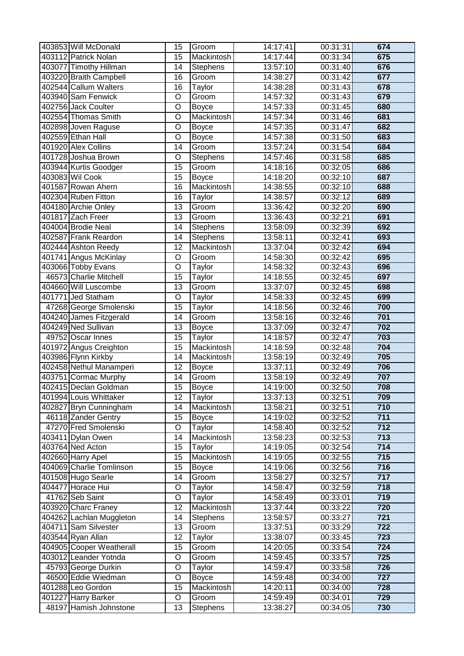| 403853 Will McDonald                             | 15                    | Groom                | 14:17:41             | 00:31:31             | 674                     |
|--------------------------------------------------|-----------------------|----------------------|----------------------|----------------------|-------------------------|
| 403112 Patrick Nolan                             | 15                    | Mackintosh           | 14:17:44             | 00:31:34             | 675                     |
| 403077 Timothy Hillman                           | 14                    | Stephens             | 13:57:10             | 00:31:40             | 676                     |
| 403220 Braith Campbell                           | 16                    | Groom                | 14:38:27             | 00:31:42             | 677                     |
| 402544 Callum Walters                            | $\overline{16}$       | Taylor               | 14:38:28             | 00:31:43             | 678                     |
| 403940 Sam Fenwick                               | O                     | Groom                | 14:57:32             | 00:31:43             | 679                     |
| 402756 Jack Coulter                              | $\overline{\rm o}$    | <b>Boyce</b>         | 14:57:33             | 00:31:45             | 680                     |
| 402554 Thomas Smith                              | O                     | Mackintosh           | 14:57:34             | 00:31:46             | 681                     |
| 402898 Joven Raguse                              | O                     | <b>Boyce</b>         | 14:57:35             | 00:31:47             | 682                     |
| 402559 Ethan Hall                                | O                     | <b>Boyce</b>         | 14:57:38             | 00:31:50             | 683                     |
| 401920 Alex Collins                              | 14                    | Groom                | 13:57:24             | 00:31:54             | 684                     |
| 401728 Joshua Brown                              | $\overline{O}$        | <b>Stephens</b>      | 14:57:46             | 00:31:58             | 685                     |
| 403944 Kurtis Goodger                            | $\overline{15}$       | Groom                | 14:18:16             | 00:32:05             | 686                     |
| 403083 Wil Cook                                  | $\overline{15}$       | <b>Boyce</b>         | 14:18:20             | 00:32:10             | 687                     |
| 401587 Rowan Ahern                               | $\overline{16}$       | Mackintosh           | 14:38:55             | 00:32:10             | 688                     |
| 402304 Ruben Fitton                              | 16                    | Taylor               | 14:38:57             | 00:32:12             | 689                     |
| 404180 Archie Onley                              | 13                    | Groom                | 13:36:42             | 00:32:20             | 690                     |
| 401817 Zach Freer                                | 13                    | Groom                | 13:36:43             | 00:32:21             | 691                     |
| 404004 Brodie Neal                               | 14                    | Stephens             | 13:58:09             | 00:32:39             | 692                     |
| 402587 Frank Reardon                             | 14                    | Stephens             | 13:58:11             | 00:32:41             | 693                     |
| 402444 Ashton Reedy                              | $\overline{12}$       | Mackintosh           | 13:37:04             | 00:32:42             | 694                     |
| 401741 Angus McKinlay                            | O                     | Groom                | 14:58:30             | 00:32:42             | 695                     |
| 403066 Tobby Evans                               | O                     | Taylor               | 14:58:32             | 00:32:43             | 696                     |
| 46573 Charlie Mitchell                           | 15                    | Taylor               | 14:18:55             | 00:32:45             | 697                     |
| 404660 Will Luscombe                             | 13                    | Groom                | 13:37:07             | 00:32:45             | 698                     |
| 401771 Jed Statham                               | $\overline{O}$        | Taylor               | 14:58:33             | 00:32:45             | 699                     |
| 47268 George Smolenski                           | $\overline{15}$       | Taylor               | 14:18:56             | 00:32:46             | 700                     |
| 404240 James Fitzgerald                          | $\overline{14}$       | Groom                | 13:58:16             | 00:32:46             | 701                     |
| 404249 Ned Sullivan                              | 13                    | <b>Boyce</b>         | 13:37:09             | 00:32:47             | 702                     |
| 49752 Oscar Innes                                | $\overline{15}$       | Taylor               | 14:18:57             | 00:32:47             | 703                     |
| 401972 Angus Creighton                           | $\overline{15}$       | Mackintosh           | 14:18:59             | 00:32:48             | 704                     |
| 403986 Flynn Kirkby                              | 14                    | Mackintosh           | 13:58:19             | 00:32:49             | 705                     |
| 402458 Nethul Manamperi                          | 12                    | <b>Boyce</b>         | 13:37:11             | 00:32:49             | 706                     |
| 403751 Cormac Murphy                             | 14                    | Groom                | 13:58:19             | 00:32:49             | 707                     |
| 402415 Declan Goldman                            | $\overline{15}$       | <b>Boyce</b>         | 14:19:00             | 00:32:50             | 708                     |
| 401994 Louis Whittaker                           | 12                    | Taylor               | 13:37:13             | 00:32:51             | 709                     |
| 402827 Bryn Cunningham                           | 14                    | Mackintosh           | 13:58:21             | 00:32:51             | 710                     |
| 46118 Zander Gentry                              | 15                    | <b>Boyce</b>         | 14:19:02             | 00:32:52             | 711                     |
| 47270 Fred Smolenski                             | O                     | Taylor               | 14:58:40             | 00:32:52             | $\overline{712}$        |
| 403411 Dylan Owen                                | 14                    | Mackintosh           | 13:58:23             | 00:32:53             | 713                     |
| 403764 Ned Acton                                 | 15                    | Taylor               | 14:19:05             | 00:32:54             | $\overline{714}$        |
| 402660 Harry Apel                                | 15                    | Mackintosh           | 14:19:05             | 00:32:55             | 715                     |
| 404069 Charlie Tomlinson                         | 15                    | <b>Boyce</b>         | 14:19:06             | 00:32:56             | 716                     |
| 401508 Hugo Searle<br>404477 Horace Hui          | 14<br>O               | Groom                | 13:58:27<br>14:58:47 | 00:32:57<br>00:32:59 | 717<br>718              |
|                                                  |                       | Taylor               |                      |                      | 719                     |
| 41762 Seb Saint<br>403920 Charc Franey           | O<br>$\overline{12}$  | Taylor<br>Mackintosh | 14:58:49<br>13:37:44 | 00:33:01<br>00:33:22 | 720                     |
|                                                  |                       |                      |                      |                      |                         |
| 404262 Lachlan Muggleton<br>404711 Sam Silvester | 14<br>$\overline{13}$ | Stephens<br>Groom    | 13:58:57<br>13:37:51 | 00:33:27<br>00:33:29 | 721<br>$\overline{722}$ |
| 403544 Ryan Allan                                | 12                    | Taylor               | 13:38:07             | 00:33:45             | $\overline{723}$        |
| 404905 Cooper Weatherall                         | 15                    | Groom                | 14:20:05             | 00:33:54             | 724                     |
| 403012 Leander Yotnda                            | O                     | Groom                | 14:59:45             | 00:33:57             | 725                     |
| 45793 George Durkin                              | O                     | Taylor               | 14:59:47             | 00:33:58             | 726                     |
| 46500 Eddie Wiedman                              | O                     | <b>Boyce</b>         | 14:59:48             | 00:34:00             | 727                     |
| 401288 Leo Gordon                                | $\overline{15}$       | Mackintosh           | 14:20:11             | 00:34:00             | 728                     |
| 401227 Harry Barker                              | O                     | Groom                | 14:59:49             | 00:34:01             | 729                     |
| 48197 Hamish Johnstone                           | 13                    | Stephens             | 13:38:27             | 00:34:05             | 730                     |